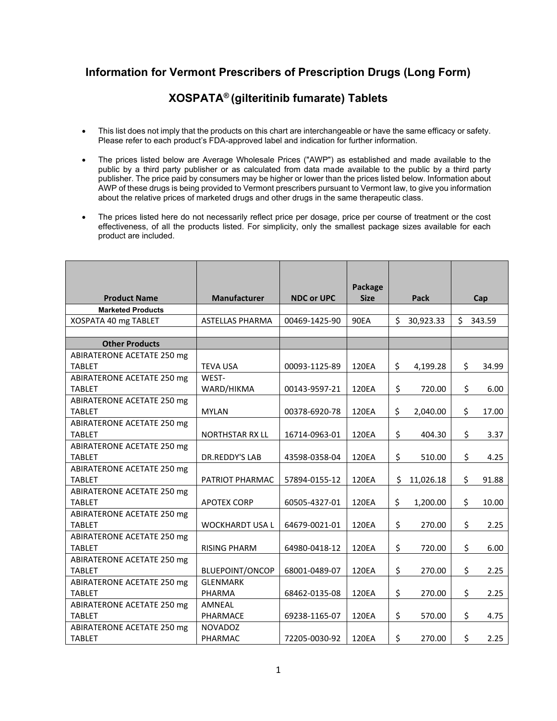## **Information for Vermont Prescribers of Prescription Drugs (Long Form)**

## **XOSPATA® (gilteritinib fumarate) Tablets**

- This list does not imply that the products on this chart are interchangeable or have the same efficacy or safety. Please refer to each product's FDA-approved label and indication for further information.
- The prices listed below are Average Wholesale Prices ("AWP") as established and made available to the public by a third party publisher or as calculated from data made available to the public by a third party publisher. The price paid by consumers may be higher or lower than the prices listed below. Information about AWP of these drugs is being provided to Vermont prescribers pursuant to Vermont law, to give you information about the relative prices of marketed drugs and other drugs in the same therapeutic class.
- The prices listed here do not necessarily reflect price per dosage, price per course of treatment or the cost effectiveness, of all the products listed. For simplicity, only the smallest package sizes available for each product are included.

|                            |                        |                   | Package     |    |             |              |
|----------------------------|------------------------|-------------------|-------------|----|-------------|--------------|
| <b>Product Name</b>        | Manufacturer           | <b>NDC or UPC</b> | <b>Size</b> |    | <b>Pack</b> | Cap          |
| <b>Marketed Products</b>   |                        |                   |             |    |             |              |
| XOSPATA 40 mg TABLET       | <b>ASTELLAS PHARMA</b> | 00469-1425-90     | 90EA        | Ś. | 30,923.33   | \$<br>343.59 |
|                            |                        |                   |             |    |             |              |
| <b>Other Products</b>      |                        |                   |             |    |             |              |
| ABIRATERONE ACETATE 250 mg |                        |                   |             |    |             |              |
| <b>TABLET</b>              | <b>TEVA USA</b>        | 00093-1125-89     | 120EA       | \$ | 4,199.28    | \$<br>34.99  |
| ABIRATERONE ACETATE 250 mg | WEST-                  |                   |             |    |             |              |
| <b>TABLET</b>              | WARD/HIKMA             | 00143-9597-21     | 120EA       | \$ | 720.00      | \$<br>6.00   |
| ABIRATERONE ACETATE 250 mg |                        |                   |             |    |             |              |
| <b>TABLET</b>              | <b>MYLAN</b>           | 00378-6920-78     | 120EA       | \$ | 2,040.00    | \$<br>17.00  |
| ABIRATERONE ACETATE 250 mg |                        |                   |             |    |             |              |
| <b>TABLET</b>              | <b>NORTHSTAR RX LL</b> | 16714-0963-01     | 120EA       | \$ | 404.30      | \$<br>3.37   |
| ABIRATERONE ACETATE 250 mg |                        |                   |             |    |             |              |
| <b>TABLET</b>              | <b>DR.REDDY'S LAB</b>  | 43598-0358-04     | 120EA       | \$ | 510.00      | \$<br>4.25   |
| ABIRATERONE ACETATE 250 mg |                        |                   |             |    |             |              |
| <b>TABLET</b>              | PATRIOT PHARMAC        | 57894-0155-12     | 120EA       | \$ | 11,026.18   | \$<br>91.88  |
| ABIRATERONE ACETATE 250 mg |                        |                   |             |    |             |              |
| <b>TABLET</b>              | <b>APOTEX CORP</b>     | 60505-4327-01     | 120EA       | \$ | 1,200.00    | \$<br>10.00  |
| ABIRATERONE ACETATE 250 mg |                        |                   |             |    |             |              |
| <b>TABLET</b>              | <b>WOCKHARDT USA L</b> | 64679-0021-01     | 120EA       | \$ | 270.00      | \$<br>2.25   |
| ABIRATERONE ACETATE 250 mg |                        |                   |             |    |             |              |
| <b>TABLET</b>              | <b>RISING PHARM</b>    | 64980-0418-12     | 120EA       | \$ | 720.00      | \$<br>6.00   |
| ABIRATERONE ACETATE 250 mg |                        |                   |             |    |             |              |
| <b>TABLET</b>              | <b>BLUEPOINT/ONCOP</b> | 68001-0489-07     | 120EA       | \$ | 270.00      | \$<br>2.25   |
| ABIRATERONE ACETATE 250 mg | <b>GLENMARK</b>        |                   |             |    |             |              |
| <b>TABLET</b>              | PHARMA                 | 68462-0135-08     | 120EA       | \$ | 270.00      | \$<br>2.25   |
| ABIRATERONE ACETATE 250 mg | <b>AMNEAL</b>          |                   |             |    |             |              |
| <b>TABLET</b>              | PHARMACE               | 69238-1165-07     | 120EA       | \$ | 570.00      | \$<br>4.75   |
| ABIRATERONE ACETATE 250 mg | <b>NOVADOZ</b>         |                   |             |    |             |              |
| <b>TABLET</b>              | PHARMAC                | 72205-0030-92     | 120EA       | \$ | 270.00      | \$<br>2.25   |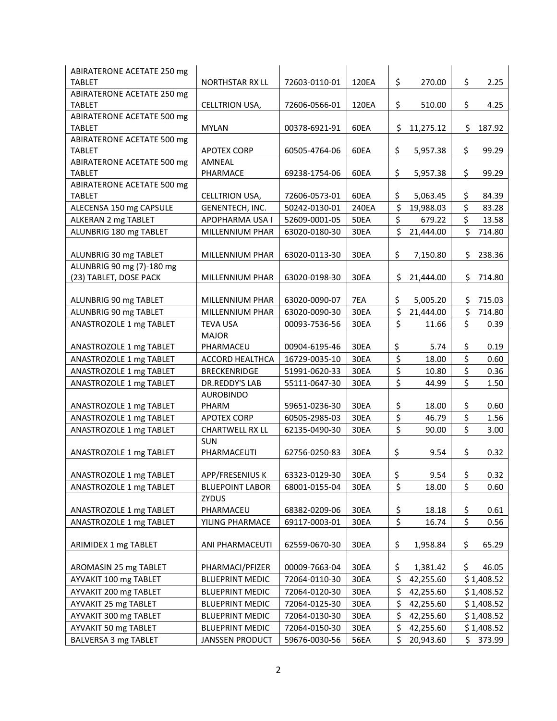| ABIRATERONE ACETATE 250 mg                         |                              |               |             |                 |     |            |
|----------------------------------------------------|------------------------------|---------------|-------------|-----------------|-----|------------|
| <b>TABLET</b>                                      | <b>NORTHSTAR RX LL</b>       | 72603-0110-01 | 120EA       | \$<br>270.00    | \$  | 2.25       |
| <b>ABIRATERONE ACETATE 250 mg</b>                  |                              |               |             |                 |     |            |
| <b>TABLET</b>                                      | CELLTRION USA,               | 72606-0566-01 | 120EA       | \$<br>510.00    | \$  | 4.25       |
| <b>ABIRATERONE ACETATE 500 mg</b>                  |                              |               |             |                 |     |            |
| <b>TABLET</b>                                      | <b>MYLAN</b>                 | 00378-6921-91 | 60EA        | \$<br>11,275.12 | \$  | 187.92     |
| ABIRATERONE ACETATE 500 mg                         |                              |               |             |                 |     |            |
| <b>TABLET</b><br><b>ABIRATERONE ACETATE 500 mg</b> | <b>APOTEX CORP</b><br>AMNEAL | 60505-4764-06 | 60EA        | \$<br>5,957.38  | \$  | 99.29      |
| <b>TABLET</b>                                      | PHARMACE                     | 69238-1754-06 | 60EA        | \$<br>5,957.38  | \$  | 99.29      |
| ABIRATERONE ACETATE 500 mg                         |                              |               |             |                 |     |            |
| <b>TABLET</b>                                      | CELLTRION USA,               | 72606-0573-01 | 60EA        | \$<br>5,063.45  | \$  | 84.39      |
| ALECENSA 150 mg CAPSULE                            | GENENTECH, INC.              | 50242-0130-01 | 240EA       | \$<br>19,988.03 | \$  | 83.28      |
| ALKERAN 2 mg TABLET                                | APOPHARMA USA I              | 52609-0001-05 | <b>50EA</b> | \$<br>679.22    | \$  | 13.58      |
| ALUNBRIG 180 mg TABLET                             | MILLENNIUM PHAR              | 63020-0180-30 | 30EA        | \$<br>21,444.00 | \$  | 714.80     |
|                                                    |                              |               |             |                 |     |            |
| ALUNBRIG 30 mg TABLET                              | MILLENNIUM PHAR              | 63020-0113-30 | 30EA        | \$<br>7,150.80  | \$  | 238.36     |
| ALUNBRIG 90 mg (7)-180 mg                          |                              |               |             |                 |     |            |
| (23) TABLET, DOSE PACK                             | MILLENNIUM PHAR              | 63020-0198-30 | 30EA        | \$<br>21,444.00 | \$  | 714.80     |
|                                                    |                              |               |             |                 |     |            |
| ALUNBRIG 90 mg TABLET                              | MILLENNIUM PHAR              | 63020-0090-07 | 7EA         | \$<br>5,005.20  | \$  | 715.03     |
| ALUNBRIG 90 mg TABLET                              | MILLENNIUM PHAR              | 63020-0090-30 | 30EA        | \$<br>21,444.00 | \$  | 714.80     |
| ANASTROZOLE 1 mg TABLET                            | <b>TEVA USA</b>              | 00093-7536-56 | 30EA        | \$<br>11.66     | \$  | 0.39       |
|                                                    | <b>MAJOR</b>                 |               |             |                 |     |            |
| ANASTROZOLE 1 mg TABLET                            | PHARMACEU                    | 00904-6195-46 | 30EA        | \$<br>5.74      | \$  | 0.19       |
| ANASTROZOLE 1 mg TABLET                            | <b>ACCORD HEALTHCA</b>       | 16729-0035-10 | 30EA        | \$<br>18.00     | \$  | 0.60       |
| ANASTROZOLE 1 mg TABLET                            | <b>BRECKENRIDGE</b>          | 51991-0620-33 | 30EA        | \$<br>10.80     | \$  | 0.36       |
| ANASTROZOLE 1 mg TABLET                            | DR.REDDY'S LAB               | 55111-0647-30 | 30EA        | \$<br>44.99     | \$  | 1.50       |
|                                                    | <b>AUROBINDO</b>             |               |             |                 |     |            |
| ANASTROZOLE 1 mg TABLET                            | PHARM                        | 59651-0236-30 | 30EA        | \$<br>18.00     | \$  | 0.60       |
| ANASTROZOLE 1 mg TABLET                            | <b>APOTEX CORP</b>           | 60505-2985-03 | 30EA        | \$<br>46.79     | \$  | 1.56       |
| ANASTROZOLE 1 mg TABLET                            | <b>CHARTWELL RX LL</b>       | 62135-0490-30 | 30EA        | \$<br>90.00     | \$  | 3.00       |
|                                                    | <b>SUN</b>                   |               |             |                 |     |            |
| ANASTROZOLE 1 mg TABLET                            | PHARMACEUTI                  | 62756-0250-83 | 30EA        | \$<br>9.54      | \$  | 0.32       |
|                                                    |                              |               |             |                 |     |            |
| ANASTROZOLE 1 mg TABLET                            | APP/FRESENIUS K              | 63323-0129-30 | 30EA        | \$<br>9.54      | \$  | 0.32       |
| ANASTROZOLE 1 mg TABLET                            | <b>BLUEPOINT LABOR</b>       | 68001-0155-04 | 30EA        | \$<br>18.00     | \$  | 0.60       |
|                                                    | ZYDUS                        |               |             |                 |     |            |
| ANASTROZOLE 1 mg TABLET                            | PHARMACEU                    | 68382-0209-06 | 30EA        | \$<br>18.18     | \$  | 0.61       |
| ANASTROZOLE 1 mg TABLET                            | YILING PHARMACE              | 69117-0003-01 | 30EA        | \$<br>16.74     | \$  | 0.56       |
|                                                    |                              |               |             |                 |     |            |
| ARIMIDEX 1 mg TABLET                               | ANI PHARMACEUTI              | 62559-0670-30 | 30EA        | \$<br>1,958.84  | \$  | 65.29      |
|                                                    |                              |               |             |                 |     |            |
| AROMASIN 25 mg TABLET                              | PHARMACI/PFIZER              | 00009-7663-04 | 30EA        | \$<br>1,381.42  | \$  | 46.05      |
| AYVAKIT 100 mg TABLET                              | <b>BLUEPRINT MEDIC</b>       | 72064-0110-30 | 30EA        | \$<br>42,255.60 |     | \$1,408.52 |
| AYVAKIT 200 mg TABLET                              | <b>BLUEPRINT MEDIC</b>       | 72064-0120-30 | 30EA        | \$<br>42,255.60 |     | \$1,408.52 |
| AYVAKIT 25 mg TABLET                               | <b>BLUEPRINT MEDIC</b>       | 72064-0125-30 | 30EA        | \$<br>42,255.60 |     | \$1,408.52 |
| AYVAKIT 300 mg TABLET                              | <b>BLUEPRINT MEDIC</b>       | 72064-0130-30 | 30EA        | \$<br>42,255.60 |     | \$1,408.52 |
| AYVAKIT 50 mg TABLET                               | <b>BLUEPRINT MEDIC</b>       | 72064-0150-30 | 30EA        | \$<br>42,255.60 |     | \$1,408.52 |
| BALVERSA 3 mg TABLET                               | JANSSEN PRODUCT              | 59676-0030-56 | 56EA        | \$<br>20,943.60 | \$. | 373.99     |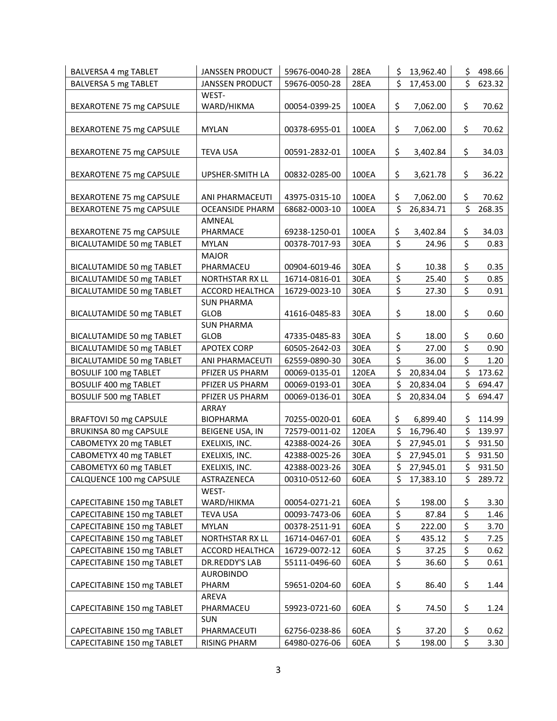| BALVERSA 4 mg TABLET                                  | <b>JANSSEN PRODUCT</b>             | 59676-0040-28                  | 28EA         | \$       | 13,962.40              | \$       | 498.66           |
|-------------------------------------------------------|------------------------------------|--------------------------------|--------------|----------|------------------------|----------|------------------|
| BALVERSA 5 mg TABLET                                  | <b>JANSSEN PRODUCT</b>             | 59676-0050-28                  | 28EA         | \$       | 17,453.00              | \$       | 623.32           |
|                                                       | WEST-                              |                                |              |          |                        |          |                  |
| BEXAROTENE 75 mg CAPSULE                              | WARD/HIKMA                         | 00054-0399-25                  | 100EA        | \$       | 7,062.00               | \$       | 70.62            |
|                                                       |                                    |                                |              |          |                        |          |                  |
| BEXAROTENE 75 mg CAPSULE                              | <b>MYLAN</b>                       | 00378-6955-01                  | 100EA        | \$       | 7,062.00               | \$       | 70.62            |
|                                                       |                                    |                                |              |          |                        |          |                  |
| BEXAROTENE 75 mg CAPSULE                              | <b>TEVA USA</b>                    | 00591-2832-01                  | 100EA        | \$       | 3,402.84               | \$       | 34.03            |
| BEXAROTENE 75 mg CAPSULE                              | UPSHER-SMITH LA                    | 00832-0285-00                  | 100EA        | \$       | 3,621.78               | \$       | 36.22            |
|                                                       |                                    |                                |              |          |                        |          |                  |
| BEXAROTENE 75 mg CAPSULE                              | ANI PHARMACEUTI                    | 43975-0315-10                  | 100EA        | \$       | 7,062.00               | \$       | 70.62            |
| BEXAROTENE 75 mg CAPSULE                              | <b>OCEANSIDE PHARM</b>             | 68682-0003-10                  | 100EA        | \$       | 26,834.71              | \$       | 268.35           |
|                                                       | AMNEAL                             |                                |              |          |                        |          |                  |
| BEXAROTENE 75 mg CAPSULE                              | PHARMACE                           | 69238-1250-01                  | 100EA        | \$       | 3,402.84               | \$       | 34.03            |
| BICALUTAMIDE 50 mg TABLET                             | <b>MYLAN</b>                       | 00378-7017-93                  | 30EA         | \$       | 24.96                  | \$       | 0.83             |
|                                                       | <b>MAJOR</b>                       |                                |              |          |                        |          |                  |
| BICALUTAMIDE 50 mg TABLET                             | PHARMACEU                          | 00904-6019-46                  | 30EA         | \$       | 10.38                  | \$       | 0.35             |
| <b>BICALUTAMIDE 50 mg TABLET</b>                      | <b>NORTHSTAR RX LL</b>             | 16714-0816-01                  | 30EA         | \$       | 25.40                  | \$       | 0.85             |
| BICALUTAMIDE 50 mg TABLET                             | <b>ACCORD HEALTHCA</b>             | 16729-0023-10                  | 30EA         | \$       | 27.30                  | \$       | 0.91             |
|                                                       | <b>SUN PHARMA</b>                  |                                |              |          |                        |          |                  |
| <b>BICALUTAMIDE 50 mg TABLET</b>                      | <b>GLOB</b>                        | 41616-0485-83                  | 30EA         | \$       | 18.00                  | \$       | 0.60             |
|                                                       | <b>SUN PHARMA</b>                  |                                |              |          |                        |          |                  |
| BICALUTAMIDE 50 mg TABLET                             | <b>GLOB</b>                        | 47335-0485-83                  | 30EA         | \$<br>\$ | 18.00                  | \$<br>\$ | 0.60             |
| <b>BICALUTAMIDE 50 mg TABLET</b>                      | <b>APOTEX CORP</b>                 | 60505-2642-03                  | 30EA         | \$       | 27.00                  | \$       | 0.90             |
| <b>BICALUTAMIDE 50 mg TABLET</b>                      | ANI PHARMACEUTI                    | 62559-0890-30                  | 30EA         | \$       | 36.00                  |          | 1.20             |
| BOSULIF 100 mg TABLET                                 | PFIZER US PHARM                    | 00069-0135-01<br>00069-0193-01 | 120EA        | \$       | 20,834.04              | \$<br>\$ | 173.62           |
| BOSULIF 400 mg TABLET<br><b>BOSULIF 500 mg TABLET</b> | PFIZER US PHARM<br>PFIZER US PHARM | 00069-0136-01                  | 30EA<br>30EA | \$       | 20,834.04<br>20,834.04 | \$       | 694.47<br>694.47 |
|                                                       | ARRAY                              |                                |              |          |                        |          |                  |
| BRAFTOVI 50 mg CAPSULE                                | <b>BIOPHARMA</b>                   | 70255-0020-01                  | 60EA         | \$       | 6,899.40               | \$.      | 114.99           |
| BRUKINSA 80 mg CAPSULE                                | BEIGENE USA, IN                    | 72579-0011-02                  | 120EA        | \$       | 16,796.40              | \$       | 139.97           |
| CABOMETYX 20 mg TABLET                                | EXELIXIS, INC.                     | 42388-0024-26                  | 30EA         | \$       | 27,945.01              | \$       | 931.50           |
| CABOMETYX 40 mg TABLET                                | EXELIXIS, INC.                     | 42388-0025-26                  | 30EA         | \$       | 27,945.01              | \$       | 931.50           |
| CABOMETYX 60 mg TABLET                                | EXELIXIS, INC.                     | 42388-0023-26                  | 30EA         | \$       | 27,945.01              | \$       | 931.50           |
| CALQUENCE 100 mg CAPSULE                              | ASTRAZENECA                        | 00310-0512-60                  | 60EA         | \$       | 17,383.10              | \$       | 289.72           |
|                                                       | WEST-                              |                                |              |          |                        |          |                  |
| CAPECITABINE 150 mg TABLET                            | WARD/HIKMA                         | 00054-0271-21                  | 60EA         | \$       | 198.00                 | \$       | 3.30             |
| CAPECITABINE 150 mg TABLET                            | <b>TEVA USA</b>                    | 00093-7473-06                  | 60EA         | \$       | 87.84                  | \$       | 1.46             |
| CAPECITABINE 150 mg TABLET                            | MYLAN                              | 00378-2511-91                  | 60EA         | \$       | 222.00                 | \$       | 3.70             |
| CAPECITABINE 150 mg TABLET                            | NORTHSTAR RX LL                    | 16714-0467-01                  | 60EA         | \$       | 435.12                 | \$       | 7.25             |
| CAPECITABINE 150 mg TABLET                            | <b>ACCORD HEALTHCA</b>             | 16729-0072-12                  | 60EA         | \$       | 37.25                  | \$       | 0.62             |
| CAPECITABINE 150 mg TABLET                            | DR.REDDY'S LAB                     | 55111-0496-60                  | 60EA         | \$       | 36.60                  | \$       | 0.61             |
|                                                       | <b>AUROBINDO</b>                   |                                |              |          |                        |          |                  |
| CAPECITABINE 150 mg TABLET                            | PHARM                              | 59651-0204-60                  | 60EA         | \$       | 86.40                  | \$       | 1.44             |
|                                                       | AREVA                              |                                |              |          |                        |          |                  |
| CAPECITABINE 150 mg TABLET                            | PHARMACEU                          | 59923-0721-60                  | 60EA         | \$       | 74.50                  | \$       | 1.24             |
|                                                       | <b>SUN</b>                         |                                |              |          |                        |          |                  |
| CAPECITABINE 150 mg TABLET                            | PHARMACEUTI                        | 62756-0238-86                  | 60EA         | \$<br>\$ | 37.20                  | \$<br>\$ | 0.62             |
| CAPECITABINE 150 mg TABLET                            | <b>RISING PHARM</b>                | 64980-0276-06                  | 60EA         |          | 198.00                 |          | 3.30             |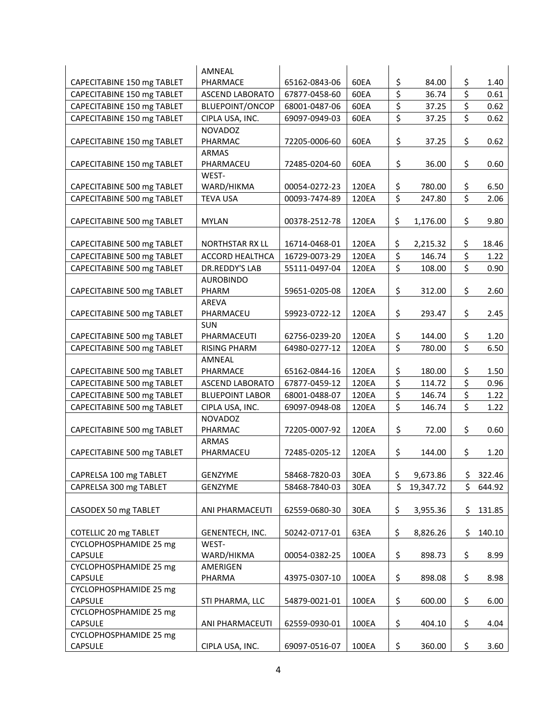|                            | AMNEAL                 |               |       |                         |           |     |        |
|----------------------------|------------------------|---------------|-------|-------------------------|-----------|-----|--------|
| CAPECITABINE 150 mg TABLET | PHARMACE               | 65162-0843-06 | 60EA  | \$                      | 84.00     | \$  | 1.40   |
| CAPECITABINE 150 mg TABLET | <b>ASCEND LABORATO</b> | 67877-0458-60 | 60EA  | \$                      | 36.74     | \$  | 0.61   |
| CAPECITABINE 150 mg TABLET | BLUEPOINT/ONCOP        | 68001-0487-06 | 60EA  | \$                      | 37.25     | \$  | 0.62   |
| CAPECITABINE 150 mg TABLET | CIPLA USA, INC.        | 69097-0949-03 | 60EA  | \$                      | 37.25     | \$  | 0.62   |
|                            | <b>NOVADOZ</b>         |               |       |                         |           |     |        |
| CAPECITABINE 150 mg TABLET | PHARMAC                | 72205-0006-60 | 60EA  | \$                      | 37.25     | \$  | 0.62   |
|                            | <b>ARMAS</b>           |               |       |                         |           |     |        |
| CAPECITABINE 150 mg TABLET | PHARMACEU              | 72485-0204-60 | 60EA  | \$                      | 36.00     | \$  | 0.60   |
|                            | WEST-                  |               |       |                         |           |     |        |
| CAPECITABINE 500 mg TABLET | WARD/HIKMA             | 00054-0272-23 | 120EA | \$                      | 780.00    | \$  | 6.50   |
| CAPECITABINE 500 mg TABLET | <b>TEVA USA</b>        | 00093-7474-89 | 120EA | \$                      | 247.80    | Ś.  | 2.06   |
|                            |                        |               |       |                         |           |     |        |
| CAPECITABINE 500 mg TABLET | <b>MYLAN</b>           | 00378-2512-78 | 120EA | \$                      | 1,176.00  | \$  | 9.80   |
|                            |                        |               |       |                         |           |     |        |
| CAPECITABINE 500 mg TABLET | NORTHSTAR RX LL        | 16714-0468-01 | 120EA | \$                      | 2,215.32  | \$  | 18.46  |
| CAPECITABINE 500 mg TABLET | <b>ACCORD HEALTHCA</b> | 16729-0073-29 | 120EA | $\overline{\xi}$        | 146.74    | \$  | 1.22   |
| CAPECITABINE 500 mg TABLET | DR.REDDY'S LAB         | 55111-0497-04 | 120EA | \$                      | 108.00    | \$  | 0.90   |
|                            | <b>AUROBINDO</b>       |               |       |                         |           |     |        |
| CAPECITABINE 500 mg TABLET | PHARM                  | 59651-0205-08 | 120EA | \$                      | 312.00    | \$  | 2.60   |
|                            | <b>AREVA</b>           |               |       |                         |           |     |        |
| CAPECITABINE 500 mg TABLET | PHARMACEU              | 59923-0722-12 | 120EA | \$                      | 293.47    | \$  | 2.45   |
|                            | <b>SUN</b>             |               |       |                         |           |     |        |
| CAPECITABINE 500 mg TABLET | PHARMACEUTI            | 62756-0239-20 | 120EA | \$                      | 144.00    | \$  | 1.20   |
| CAPECITABINE 500 mg TABLET | <b>RISING PHARM</b>    | 64980-0277-12 | 120EA | $\overline{\mathsf{S}}$ | 780.00    | \$  | 6.50   |
|                            | AMNEAL                 |               |       |                         |           |     |        |
| CAPECITABINE 500 mg TABLET | PHARMACE               | 65162-0844-16 | 120EA | \$                      | 180.00    | \$  | 1.50   |
| CAPECITABINE 500 mg TABLET | <b>ASCEND LABORATO</b> | 67877-0459-12 | 120EA | \$                      | 114.72    | \$  | 0.96   |
| CAPECITABINE 500 mg TABLET | <b>BLUEPOINT LABOR</b> | 68001-0488-07 | 120EA | \$                      | 146.74    | \$  | 1.22   |
| CAPECITABINE 500 mg TABLET | CIPLA USA, INC.        | 69097-0948-08 | 120EA | \$                      | 146.74    | \$  | 1.22   |
|                            | <b>NOVADOZ</b>         |               |       |                         |           |     |        |
| CAPECITABINE 500 mg TABLET | PHARMAC                | 72205-0007-92 | 120EA | \$                      | 72.00     | \$  | 0.60   |
|                            | <b>ARMAS</b>           |               |       |                         |           |     |        |
| CAPECITABINE 500 mg TABLET | PHARMACEU              | 72485-0205-12 | 120EA | \$                      | 144.00    | \$  | 1.20   |
|                            |                        |               |       |                         |           |     |        |
| CAPRELSA 100 mg TABLET     | GENZYME                | 58468-7820-03 | 30EA  | Ş                       | 9,673.86  | \$. | 322.46 |
| CAPRELSA 300 mg TABLET     | GENZYME                | 58468-7840-03 | 30EA  | \$                      | 19,347.72 | \$  | 644.92 |
|                            |                        |               |       |                         |           |     |        |
| CASODEX 50 mg TABLET       | ANI PHARMACEUTI        | 62559-0680-30 | 30EA  | \$                      | 3,955.36  | \$  | 131.85 |
|                            |                        |               |       |                         |           |     |        |
| COTELLIC 20 mg TABLET      | GENENTECH, INC.        | 50242-0717-01 | 63EA  | \$                      | 8,826.26  | \$  | 140.10 |
| CYCLOPHOSPHAMIDE 25 mg     | WEST-                  |               |       |                         |           |     |        |
| <b>CAPSULE</b>             | WARD/HIKMA             | 00054-0382-25 | 100EA | \$                      | 898.73    | \$  | 8.99   |
| CYCLOPHOSPHAMIDE 25 mg     | AMERIGEN               |               |       |                         |           |     |        |
| <b>CAPSULE</b>             | PHARMA                 | 43975-0307-10 | 100EA | \$                      | 898.08    | \$  | 8.98   |
| CYCLOPHOSPHAMIDE 25 mg     |                        |               |       |                         |           |     |        |
| CAPSULE                    | STI PHARMA, LLC        | 54879-0021-01 | 100EA | \$                      | 600.00    | \$  | 6.00   |
| CYCLOPHOSPHAMIDE 25 mg     |                        |               |       |                         |           |     |        |
| CAPSULE                    | ANI PHARMACEUTI        | 62559-0930-01 | 100EA | \$                      | 404.10    | \$  | 4.04   |
| CYCLOPHOSPHAMIDE 25 mg     |                        |               |       |                         |           |     |        |
| CAPSULE                    | CIPLA USA, INC.        | 69097-0516-07 | 100EA | \$                      | 360.00    | \$  | 3.60   |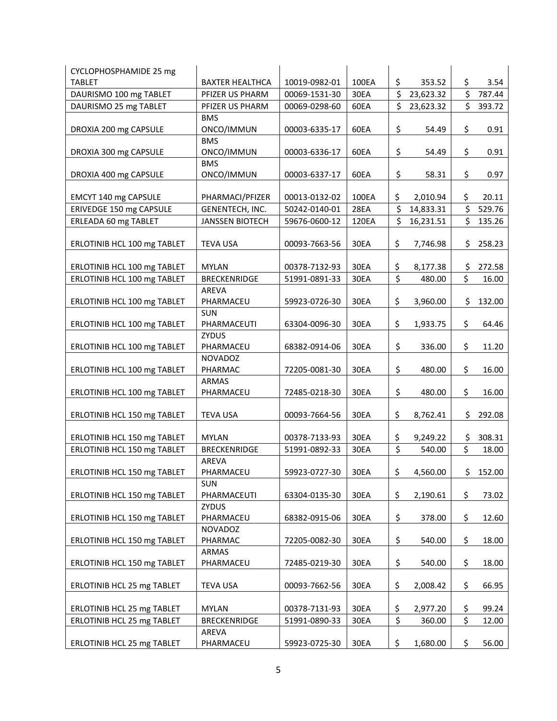| \$<br><b>TABLET</b><br>100EA<br>353.52<br>\$<br>3.54<br><b>BAXTER HEALTHCA</b><br>10019-0982-01<br>\$<br>\$<br>DAURISMO 100 mg TABLET<br>30EA<br>23,623.32<br>787.44<br>PFIZER US PHARM<br>00069-1531-30<br>\$<br>\$<br>23,623.32<br>DAURISMO 25 mg TABLET<br>PFIZER US PHARM<br>00069-0298-60<br>60EA<br>393.72<br><b>BMS</b><br>\$<br>\$<br>DROXIA 200 mg CAPSULE<br>ONCO/IMMUN<br>00003-6335-17<br>60EA<br>54.49<br>0.91<br><b>BMS</b><br>\$<br>\$<br>DROXIA 300 mg CAPSULE<br>00003-6336-17<br>60EA<br>ONCO/IMMUN<br>54.49<br>0.91<br><b>BMS</b><br>\$<br>\$<br>DROXIA 400 mg CAPSULE<br>ONCO/IMMUN<br>00003-6337-17<br>60EA<br>0.97<br>58.31<br>00013-0132-02<br>100EA<br>\$<br>2,010.94<br>\$<br>20.11<br>EMCYT 140 mg CAPSULE<br>PHARMACI/PFIZER<br>\$<br>\$<br>ERIVEDGE 150 mg CAPSULE<br>28EA<br>529.76<br>50242-0140-01<br>14,833.31<br>GENENTECH, INC.<br>\$<br>\$<br>ERLEADA 60 mg TABLET<br>120EA<br>16,231.51<br>135.26<br><b>JANSSEN BIOTECH</b><br>59676-0600-12<br>\$<br>\$<br>30EA<br>7,746.98<br>258.23<br>ERLOTINIB HCL 100 mg TABLET<br><b>TEVA USA</b><br>00093-7663-56<br>\$<br>ERLOTINIB HCL 100 mg TABLET<br>30EA<br>8,177.38<br>\$<br>272.58<br><b>MYLAN</b><br>00378-7132-93<br>\$<br>\$<br>ERLOTINIB HCL 100 mg TABLET<br><b>BRECKENRIDGE</b><br>480.00<br>16.00<br>51991-0891-33<br>30EA<br>AREVA<br>ERLOTINIB HCL 100 mg TABLET<br>\$<br>3,960.00<br>\$<br>PHARMACEU<br>59923-0726-30<br>30EA<br>132.00<br><b>SUN</b><br>\$<br>ERLOTINIB HCL 100 mg TABLET<br>63304-0096-30<br>30EA<br>\$<br>64.46<br>PHARMACEUTI<br>1,933.75<br><b>ZYDUS</b><br>\$<br>\$<br>ERLOTINIB HCL 100 mg TABLET<br>30EA<br>336.00<br>PHARMACEU<br>68382-0914-06<br>11.20<br><b>NOVADOZ</b><br>\$<br>\$<br>ERLOTINIB HCL 100 mg TABLET<br>72205-0081-30<br>30EA<br>480.00<br>16.00<br>PHARMAC<br><b>ARMAS</b><br>\$<br>\$<br>ERLOTINIB HCL 100 mg TABLET<br>72485-0218-30<br>30EA<br>480.00<br>16.00<br>PHARMACEU<br>\$<br>\$<br>ERLOTINIB HCL 150 mg TABLET<br><b>TEVA USA</b><br>00093-7664-56<br>30EA<br>8,762.41<br>292.08<br>\$<br><b>MYLAN</b><br>30EA<br>9,249.22<br>\$<br>308.31<br>ERLOTINIB HCL 150 mg TABLET<br>00378-7133-93<br>\$<br>\$<br>ERLOTINIB HCL 150 mg TABLET<br><b>BRECKENRIDGE</b><br>51991-0892-33<br>30EA<br>540.00<br>18.00<br>AREVA<br>30EA<br>\$4,560.00<br>59923-0727-30<br>\$152.00<br>ERLOTINIB HCL 150 mg TABLET<br>PHARMACEU<br><b>SUN</b><br>\$<br>\$<br>30EA<br>2,190.61<br>73.02<br>ERLOTINIB HCL 150 mg TABLET<br>PHARMACEUTI<br>63304-0135-30<br><b>ZYDUS</b><br>\$<br>\$<br>30EA<br>ERLOTINIB HCL 150 mg TABLET<br>PHARMACEU<br>68382-0915-06<br>378.00<br>12.60<br>NOVADOZ<br>\$<br>\$<br>ERLOTINIB HCL 150 mg TABLET<br>30EA<br>18.00<br>PHARMAC<br>72205-0082-30<br>540.00<br>ARMAS<br>\$<br>\$<br>ERLOTINIB HCL 150 mg TABLET<br>PHARMACEU<br>72485-0219-30<br>30EA<br>540.00<br>18.00<br>\$<br>\$<br>ERLOTINIB HCL 25 mg TABLET<br><b>TEVA USA</b><br>00093-7662-56<br>30EA<br>2,008.42<br>66.95<br>\$<br>ERLOTINIB HCL 25 mg TABLET<br><b>MYLAN</b><br>00378-7131-93<br>30EA<br>\$<br>99.24<br>2,977.20<br>\$<br>\$<br>ERLOTINIB HCL 25 mg TABLET<br><b>BRECKENRIDGE</b><br>30EA<br>12.00<br>51991-0890-33<br>360.00<br>AREVA<br>\$<br>\$<br>ERLOTINIB HCL 25 mg TABLET<br>59923-0725-30<br>30EA<br>1,680.00<br>56.00<br>PHARMACEU | CYCLOPHOSPHAMIDE 25 mg |  |  |  |  |
|----------------------------------------------------------------------------------------------------------------------------------------------------------------------------------------------------------------------------------------------------------------------------------------------------------------------------------------------------------------------------------------------------------------------------------------------------------------------------------------------------------------------------------------------------------------------------------------------------------------------------------------------------------------------------------------------------------------------------------------------------------------------------------------------------------------------------------------------------------------------------------------------------------------------------------------------------------------------------------------------------------------------------------------------------------------------------------------------------------------------------------------------------------------------------------------------------------------------------------------------------------------------------------------------------------------------------------------------------------------------------------------------------------------------------------------------------------------------------------------------------------------------------------------------------------------------------------------------------------------------------------------------------------------------------------------------------------------------------------------------------------------------------------------------------------------------------------------------------------------------------------------------------------------------------------------------------------------------------------------------------------------------------------------------------------------------------------------------------------------------------------------------------------------------------------------------------------------------------------------------------------------------------------------------------------------------------------------------------------------------------------------------------------------------------------------------------------------------------------------------------------------------------------------------------------------------------------------------------------------------------------------------------------------------------------------------------------------------------------------------------------------------------------------------------------------------------------------------------------------------------------------------------------------------------------------------------------------------------------------------------------------------------------------------------------------------------------------------------------------------------------------------------------------------------------------------------------------------------------------------------------------------------------------|------------------------|--|--|--|--|
|                                                                                                                                                                                                                                                                                                                                                                                                                                                                                                                                                                                                                                                                                                                                                                                                                                                                                                                                                                                                                                                                                                                                                                                                                                                                                                                                                                                                                                                                                                                                                                                                                                                                                                                                                                                                                                                                                                                                                                                                                                                                                                                                                                                                                                                                                                                                                                                                                                                                                                                                                                                                                                                                                                                                                                                                                                                                                                                                                                                                                                                                                                                                                                                                                                                                                        |                        |  |  |  |  |
|                                                                                                                                                                                                                                                                                                                                                                                                                                                                                                                                                                                                                                                                                                                                                                                                                                                                                                                                                                                                                                                                                                                                                                                                                                                                                                                                                                                                                                                                                                                                                                                                                                                                                                                                                                                                                                                                                                                                                                                                                                                                                                                                                                                                                                                                                                                                                                                                                                                                                                                                                                                                                                                                                                                                                                                                                                                                                                                                                                                                                                                                                                                                                                                                                                                                                        |                        |  |  |  |  |
|                                                                                                                                                                                                                                                                                                                                                                                                                                                                                                                                                                                                                                                                                                                                                                                                                                                                                                                                                                                                                                                                                                                                                                                                                                                                                                                                                                                                                                                                                                                                                                                                                                                                                                                                                                                                                                                                                                                                                                                                                                                                                                                                                                                                                                                                                                                                                                                                                                                                                                                                                                                                                                                                                                                                                                                                                                                                                                                                                                                                                                                                                                                                                                                                                                                                                        |                        |  |  |  |  |
|                                                                                                                                                                                                                                                                                                                                                                                                                                                                                                                                                                                                                                                                                                                                                                                                                                                                                                                                                                                                                                                                                                                                                                                                                                                                                                                                                                                                                                                                                                                                                                                                                                                                                                                                                                                                                                                                                                                                                                                                                                                                                                                                                                                                                                                                                                                                                                                                                                                                                                                                                                                                                                                                                                                                                                                                                                                                                                                                                                                                                                                                                                                                                                                                                                                                                        |                        |  |  |  |  |
|                                                                                                                                                                                                                                                                                                                                                                                                                                                                                                                                                                                                                                                                                                                                                                                                                                                                                                                                                                                                                                                                                                                                                                                                                                                                                                                                                                                                                                                                                                                                                                                                                                                                                                                                                                                                                                                                                                                                                                                                                                                                                                                                                                                                                                                                                                                                                                                                                                                                                                                                                                                                                                                                                                                                                                                                                                                                                                                                                                                                                                                                                                                                                                                                                                                                                        |                        |  |  |  |  |
|                                                                                                                                                                                                                                                                                                                                                                                                                                                                                                                                                                                                                                                                                                                                                                                                                                                                                                                                                                                                                                                                                                                                                                                                                                                                                                                                                                                                                                                                                                                                                                                                                                                                                                                                                                                                                                                                                                                                                                                                                                                                                                                                                                                                                                                                                                                                                                                                                                                                                                                                                                                                                                                                                                                                                                                                                                                                                                                                                                                                                                                                                                                                                                                                                                                                                        |                        |  |  |  |  |
|                                                                                                                                                                                                                                                                                                                                                                                                                                                                                                                                                                                                                                                                                                                                                                                                                                                                                                                                                                                                                                                                                                                                                                                                                                                                                                                                                                                                                                                                                                                                                                                                                                                                                                                                                                                                                                                                                                                                                                                                                                                                                                                                                                                                                                                                                                                                                                                                                                                                                                                                                                                                                                                                                                                                                                                                                                                                                                                                                                                                                                                                                                                                                                                                                                                                                        |                        |  |  |  |  |
|                                                                                                                                                                                                                                                                                                                                                                                                                                                                                                                                                                                                                                                                                                                                                                                                                                                                                                                                                                                                                                                                                                                                                                                                                                                                                                                                                                                                                                                                                                                                                                                                                                                                                                                                                                                                                                                                                                                                                                                                                                                                                                                                                                                                                                                                                                                                                                                                                                                                                                                                                                                                                                                                                                                                                                                                                                                                                                                                                                                                                                                                                                                                                                                                                                                                                        |                        |  |  |  |  |
|                                                                                                                                                                                                                                                                                                                                                                                                                                                                                                                                                                                                                                                                                                                                                                                                                                                                                                                                                                                                                                                                                                                                                                                                                                                                                                                                                                                                                                                                                                                                                                                                                                                                                                                                                                                                                                                                                                                                                                                                                                                                                                                                                                                                                                                                                                                                                                                                                                                                                                                                                                                                                                                                                                                                                                                                                                                                                                                                                                                                                                                                                                                                                                                                                                                                                        |                        |  |  |  |  |
|                                                                                                                                                                                                                                                                                                                                                                                                                                                                                                                                                                                                                                                                                                                                                                                                                                                                                                                                                                                                                                                                                                                                                                                                                                                                                                                                                                                                                                                                                                                                                                                                                                                                                                                                                                                                                                                                                                                                                                                                                                                                                                                                                                                                                                                                                                                                                                                                                                                                                                                                                                                                                                                                                                                                                                                                                                                                                                                                                                                                                                                                                                                                                                                                                                                                                        |                        |  |  |  |  |
|                                                                                                                                                                                                                                                                                                                                                                                                                                                                                                                                                                                                                                                                                                                                                                                                                                                                                                                                                                                                                                                                                                                                                                                                                                                                                                                                                                                                                                                                                                                                                                                                                                                                                                                                                                                                                                                                                                                                                                                                                                                                                                                                                                                                                                                                                                                                                                                                                                                                                                                                                                                                                                                                                                                                                                                                                                                                                                                                                                                                                                                                                                                                                                                                                                                                                        |                        |  |  |  |  |
|                                                                                                                                                                                                                                                                                                                                                                                                                                                                                                                                                                                                                                                                                                                                                                                                                                                                                                                                                                                                                                                                                                                                                                                                                                                                                                                                                                                                                                                                                                                                                                                                                                                                                                                                                                                                                                                                                                                                                                                                                                                                                                                                                                                                                                                                                                                                                                                                                                                                                                                                                                                                                                                                                                                                                                                                                                                                                                                                                                                                                                                                                                                                                                                                                                                                                        |                        |  |  |  |  |
|                                                                                                                                                                                                                                                                                                                                                                                                                                                                                                                                                                                                                                                                                                                                                                                                                                                                                                                                                                                                                                                                                                                                                                                                                                                                                                                                                                                                                                                                                                                                                                                                                                                                                                                                                                                                                                                                                                                                                                                                                                                                                                                                                                                                                                                                                                                                                                                                                                                                                                                                                                                                                                                                                                                                                                                                                                                                                                                                                                                                                                                                                                                                                                                                                                                                                        |                        |  |  |  |  |
|                                                                                                                                                                                                                                                                                                                                                                                                                                                                                                                                                                                                                                                                                                                                                                                                                                                                                                                                                                                                                                                                                                                                                                                                                                                                                                                                                                                                                                                                                                                                                                                                                                                                                                                                                                                                                                                                                                                                                                                                                                                                                                                                                                                                                                                                                                                                                                                                                                                                                                                                                                                                                                                                                                                                                                                                                                                                                                                                                                                                                                                                                                                                                                                                                                                                                        |                        |  |  |  |  |
|                                                                                                                                                                                                                                                                                                                                                                                                                                                                                                                                                                                                                                                                                                                                                                                                                                                                                                                                                                                                                                                                                                                                                                                                                                                                                                                                                                                                                                                                                                                                                                                                                                                                                                                                                                                                                                                                                                                                                                                                                                                                                                                                                                                                                                                                                                                                                                                                                                                                                                                                                                                                                                                                                                                                                                                                                                                                                                                                                                                                                                                                                                                                                                                                                                                                                        |                        |  |  |  |  |
|                                                                                                                                                                                                                                                                                                                                                                                                                                                                                                                                                                                                                                                                                                                                                                                                                                                                                                                                                                                                                                                                                                                                                                                                                                                                                                                                                                                                                                                                                                                                                                                                                                                                                                                                                                                                                                                                                                                                                                                                                                                                                                                                                                                                                                                                                                                                                                                                                                                                                                                                                                                                                                                                                                                                                                                                                                                                                                                                                                                                                                                                                                                                                                                                                                                                                        |                        |  |  |  |  |
|                                                                                                                                                                                                                                                                                                                                                                                                                                                                                                                                                                                                                                                                                                                                                                                                                                                                                                                                                                                                                                                                                                                                                                                                                                                                                                                                                                                                                                                                                                                                                                                                                                                                                                                                                                                                                                                                                                                                                                                                                                                                                                                                                                                                                                                                                                                                                                                                                                                                                                                                                                                                                                                                                                                                                                                                                                                                                                                                                                                                                                                                                                                                                                                                                                                                                        |                        |  |  |  |  |
|                                                                                                                                                                                                                                                                                                                                                                                                                                                                                                                                                                                                                                                                                                                                                                                                                                                                                                                                                                                                                                                                                                                                                                                                                                                                                                                                                                                                                                                                                                                                                                                                                                                                                                                                                                                                                                                                                                                                                                                                                                                                                                                                                                                                                                                                                                                                                                                                                                                                                                                                                                                                                                                                                                                                                                                                                                                                                                                                                                                                                                                                                                                                                                                                                                                                                        |                        |  |  |  |  |
|                                                                                                                                                                                                                                                                                                                                                                                                                                                                                                                                                                                                                                                                                                                                                                                                                                                                                                                                                                                                                                                                                                                                                                                                                                                                                                                                                                                                                                                                                                                                                                                                                                                                                                                                                                                                                                                                                                                                                                                                                                                                                                                                                                                                                                                                                                                                                                                                                                                                                                                                                                                                                                                                                                                                                                                                                                                                                                                                                                                                                                                                                                                                                                                                                                                                                        |                        |  |  |  |  |
|                                                                                                                                                                                                                                                                                                                                                                                                                                                                                                                                                                                                                                                                                                                                                                                                                                                                                                                                                                                                                                                                                                                                                                                                                                                                                                                                                                                                                                                                                                                                                                                                                                                                                                                                                                                                                                                                                                                                                                                                                                                                                                                                                                                                                                                                                                                                                                                                                                                                                                                                                                                                                                                                                                                                                                                                                                                                                                                                                                                                                                                                                                                                                                                                                                                                                        |                        |  |  |  |  |
|                                                                                                                                                                                                                                                                                                                                                                                                                                                                                                                                                                                                                                                                                                                                                                                                                                                                                                                                                                                                                                                                                                                                                                                                                                                                                                                                                                                                                                                                                                                                                                                                                                                                                                                                                                                                                                                                                                                                                                                                                                                                                                                                                                                                                                                                                                                                                                                                                                                                                                                                                                                                                                                                                                                                                                                                                                                                                                                                                                                                                                                                                                                                                                                                                                                                                        |                        |  |  |  |  |
|                                                                                                                                                                                                                                                                                                                                                                                                                                                                                                                                                                                                                                                                                                                                                                                                                                                                                                                                                                                                                                                                                                                                                                                                                                                                                                                                                                                                                                                                                                                                                                                                                                                                                                                                                                                                                                                                                                                                                                                                                                                                                                                                                                                                                                                                                                                                                                                                                                                                                                                                                                                                                                                                                                                                                                                                                                                                                                                                                                                                                                                                                                                                                                                                                                                                                        |                        |  |  |  |  |
|                                                                                                                                                                                                                                                                                                                                                                                                                                                                                                                                                                                                                                                                                                                                                                                                                                                                                                                                                                                                                                                                                                                                                                                                                                                                                                                                                                                                                                                                                                                                                                                                                                                                                                                                                                                                                                                                                                                                                                                                                                                                                                                                                                                                                                                                                                                                                                                                                                                                                                                                                                                                                                                                                                                                                                                                                                                                                                                                                                                                                                                                                                                                                                                                                                                                                        |                        |  |  |  |  |
|                                                                                                                                                                                                                                                                                                                                                                                                                                                                                                                                                                                                                                                                                                                                                                                                                                                                                                                                                                                                                                                                                                                                                                                                                                                                                                                                                                                                                                                                                                                                                                                                                                                                                                                                                                                                                                                                                                                                                                                                                                                                                                                                                                                                                                                                                                                                                                                                                                                                                                                                                                                                                                                                                                                                                                                                                                                                                                                                                                                                                                                                                                                                                                                                                                                                                        |                        |  |  |  |  |
|                                                                                                                                                                                                                                                                                                                                                                                                                                                                                                                                                                                                                                                                                                                                                                                                                                                                                                                                                                                                                                                                                                                                                                                                                                                                                                                                                                                                                                                                                                                                                                                                                                                                                                                                                                                                                                                                                                                                                                                                                                                                                                                                                                                                                                                                                                                                                                                                                                                                                                                                                                                                                                                                                                                                                                                                                                                                                                                                                                                                                                                                                                                                                                                                                                                                                        |                        |  |  |  |  |
|                                                                                                                                                                                                                                                                                                                                                                                                                                                                                                                                                                                                                                                                                                                                                                                                                                                                                                                                                                                                                                                                                                                                                                                                                                                                                                                                                                                                                                                                                                                                                                                                                                                                                                                                                                                                                                                                                                                                                                                                                                                                                                                                                                                                                                                                                                                                                                                                                                                                                                                                                                                                                                                                                                                                                                                                                                                                                                                                                                                                                                                                                                                                                                                                                                                                                        |                        |  |  |  |  |
|                                                                                                                                                                                                                                                                                                                                                                                                                                                                                                                                                                                                                                                                                                                                                                                                                                                                                                                                                                                                                                                                                                                                                                                                                                                                                                                                                                                                                                                                                                                                                                                                                                                                                                                                                                                                                                                                                                                                                                                                                                                                                                                                                                                                                                                                                                                                                                                                                                                                                                                                                                                                                                                                                                                                                                                                                                                                                                                                                                                                                                                                                                                                                                                                                                                                                        |                        |  |  |  |  |
|                                                                                                                                                                                                                                                                                                                                                                                                                                                                                                                                                                                                                                                                                                                                                                                                                                                                                                                                                                                                                                                                                                                                                                                                                                                                                                                                                                                                                                                                                                                                                                                                                                                                                                                                                                                                                                                                                                                                                                                                                                                                                                                                                                                                                                                                                                                                                                                                                                                                                                                                                                                                                                                                                                                                                                                                                                                                                                                                                                                                                                                                                                                                                                                                                                                                                        |                        |  |  |  |  |
|                                                                                                                                                                                                                                                                                                                                                                                                                                                                                                                                                                                                                                                                                                                                                                                                                                                                                                                                                                                                                                                                                                                                                                                                                                                                                                                                                                                                                                                                                                                                                                                                                                                                                                                                                                                                                                                                                                                                                                                                                                                                                                                                                                                                                                                                                                                                                                                                                                                                                                                                                                                                                                                                                                                                                                                                                                                                                                                                                                                                                                                                                                                                                                                                                                                                                        |                        |  |  |  |  |
|                                                                                                                                                                                                                                                                                                                                                                                                                                                                                                                                                                                                                                                                                                                                                                                                                                                                                                                                                                                                                                                                                                                                                                                                                                                                                                                                                                                                                                                                                                                                                                                                                                                                                                                                                                                                                                                                                                                                                                                                                                                                                                                                                                                                                                                                                                                                                                                                                                                                                                                                                                                                                                                                                                                                                                                                                                                                                                                                                                                                                                                                                                                                                                                                                                                                                        |                        |  |  |  |  |
|                                                                                                                                                                                                                                                                                                                                                                                                                                                                                                                                                                                                                                                                                                                                                                                                                                                                                                                                                                                                                                                                                                                                                                                                                                                                                                                                                                                                                                                                                                                                                                                                                                                                                                                                                                                                                                                                                                                                                                                                                                                                                                                                                                                                                                                                                                                                                                                                                                                                                                                                                                                                                                                                                                                                                                                                                                                                                                                                                                                                                                                                                                                                                                                                                                                                                        |                        |  |  |  |  |
|                                                                                                                                                                                                                                                                                                                                                                                                                                                                                                                                                                                                                                                                                                                                                                                                                                                                                                                                                                                                                                                                                                                                                                                                                                                                                                                                                                                                                                                                                                                                                                                                                                                                                                                                                                                                                                                                                                                                                                                                                                                                                                                                                                                                                                                                                                                                                                                                                                                                                                                                                                                                                                                                                                                                                                                                                                                                                                                                                                                                                                                                                                                                                                                                                                                                                        |                        |  |  |  |  |
|                                                                                                                                                                                                                                                                                                                                                                                                                                                                                                                                                                                                                                                                                                                                                                                                                                                                                                                                                                                                                                                                                                                                                                                                                                                                                                                                                                                                                                                                                                                                                                                                                                                                                                                                                                                                                                                                                                                                                                                                                                                                                                                                                                                                                                                                                                                                                                                                                                                                                                                                                                                                                                                                                                                                                                                                                                                                                                                                                                                                                                                                                                                                                                                                                                                                                        |                        |  |  |  |  |
|                                                                                                                                                                                                                                                                                                                                                                                                                                                                                                                                                                                                                                                                                                                                                                                                                                                                                                                                                                                                                                                                                                                                                                                                                                                                                                                                                                                                                                                                                                                                                                                                                                                                                                                                                                                                                                                                                                                                                                                                                                                                                                                                                                                                                                                                                                                                                                                                                                                                                                                                                                                                                                                                                                                                                                                                                                                                                                                                                                                                                                                                                                                                                                                                                                                                                        |                        |  |  |  |  |
|                                                                                                                                                                                                                                                                                                                                                                                                                                                                                                                                                                                                                                                                                                                                                                                                                                                                                                                                                                                                                                                                                                                                                                                                                                                                                                                                                                                                                                                                                                                                                                                                                                                                                                                                                                                                                                                                                                                                                                                                                                                                                                                                                                                                                                                                                                                                                                                                                                                                                                                                                                                                                                                                                                                                                                                                                                                                                                                                                                                                                                                                                                                                                                                                                                                                                        |                        |  |  |  |  |
|                                                                                                                                                                                                                                                                                                                                                                                                                                                                                                                                                                                                                                                                                                                                                                                                                                                                                                                                                                                                                                                                                                                                                                                                                                                                                                                                                                                                                                                                                                                                                                                                                                                                                                                                                                                                                                                                                                                                                                                                                                                                                                                                                                                                                                                                                                                                                                                                                                                                                                                                                                                                                                                                                                                                                                                                                                                                                                                                                                                                                                                                                                                                                                                                                                                                                        |                        |  |  |  |  |
|                                                                                                                                                                                                                                                                                                                                                                                                                                                                                                                                                                                                                                                                                                                                                                                                                                                                                                                                                                                                                                                                                                                                                                                                                                                                                                                                                                                                                                                                                                                                                                                                                                                                                                                                                                                                                                                                                                                                                                                                                                                                                                                                                                                                                                                                                                                                                                                                                                                                                                                                                                                                                                                                                                                                                                                                                                                                                                                                                                                                                                                                                                                                                                                                                                                                                        |                        |  |  |  |  |
|                                                                                                                                                                                                                                                                                                                                                                                                                                                                                                                                                                                                                                                                                                                                                                                                                                                                                                                                                                                                                                                                                                                                                                                                                                                                                                                                                                                                                                                                                                                                                                                                                                                                                                                                                                                                                                                                                                                                                                                                                                                                                                                                                                                                                                                                                                                                                                                                                                                                                                                                                                                                                                                                                                                                                                                                                                                                                                                                                                                                                                                                                                                                                                                                                                                                                        |                        |  |  |  |  |
|                                                                                                                                                                                                                                                                                                                                                                                                                                                                                                                                                                                                                                                                                                                                                                                                                                                                                                                                                                                                                                                                                                                                                                                                                                                                                                                                                                                                                                                                                                                                                                                                                                                                                                                                                                                                                                                                                                                                                                                                                                                                                                                                                                                                                                                                                                                                                                                                                                                                                                                                                                                                                                                                                                                                                                                                                                                                                                                                                                                                                                                                                                                                                                                                                                                                                        |                        |  |  |  |  |
|                                                                                                                                                                                                                                                                                                                                                                                                                                                                                                                                                                                                                                                                                                                                                                                                                                                                                                                                                                                                                                                                                                                                                                                                                                                                                                                                                                                                                                                                                                                                                                                                                                                                                                                                                                                                                                                                                                                                                                                                                                                                                                                                                                                                                                                                                                                                                                                                                                                                                                                                                                                                                                                                                                                                                                                                                                                                                                                                                                                                                                                                                                                                                                                                                                                                                        |                        |  |  |  |  |
|                                                                                                                                                                                                                                                                                                                                                                                                                                                                                                                                                                                                                                                                                                                                                                                                                                                                                                                                                                                                                                                                                                                                                                                                                                                                                                                                                                                                                                                                                                                                                                                                                                                                                                                                                                                                                                                                                                                                                                                                                                                                                                                                                                                                                                                                                                                                                                                                                                                                                                                                                                                                                                                                                                                                                                                                                                                                                                                                                                                                                                                                                                                                                                                                                                                                                        |                        |  |  |  |  |
|                                                                                                                                                                                                                                                                                                                                                                                                                                                                                                                                                                                                                                                                                                                                                                                                                                                                                                                                                                                                                                                                                                                                                                                                                                                                                                                                                                                                                                                                                                                                                                                                                                                                                                                                                                                                                                                                                                                                                                                                                                                                                                                                                                                                                                                                                                                                                                                                                                                                                                                                                                                                                                                                                                                                                                                                                                                                                                                                                                                                                                                                                                                                                                                                                                                                                        |                        |  |  |  |  |
|                                                                                                                                                                                                                                                                                                                                                                                                                                                                                                                                                                                                                                                                                                                                                                                                                                                                                                                                                                                                                                                                                                                                                                                                                                                                                                                                                                                                                                                                                                                                                                                                                                                                                                                                                                                                                                                                                                                                                                                                                                                                                                                                                                                                                                                                                                                                                                                                                                                                                                                                                                                                                                                                                                                                                                                                                                                                                                                                                                                                                                                                                                                                                                                                                                                                                        |                        |  |  |  |  |
|                                                                                                                                                                                                                                                                                                                                                                                                                                                                                                                                                                                                                                                                                                                                                                                                                                                                                                                                                                                                                                                                                                                                                                                                                                                                                                                                                                                                                                                                                                                                                                                                                                                                                                                                                                                                                                                                                                                                                                                                                                                                                                                                                                                                                                                                                                                                                                                                                                                                                                                                                                                                                                                                                                                                                                                                                                                                                                                                                                                                                                                                                                                                                                                                                                                                                        |                        |  |  |  |  |
|                                                                                                                                                                                                                                                                                                                                                                                                                                                                                                                                                                                                                                                                                                                                                                                                                                                                                                                                                                                                                                                                                                                                                                                                                                                                                                                                                                                                                                                                                                                                                                                                                                                                                                                                                                                                                                                                                                                                                                                                                                                                                                                                                                                                                                                                                                                                                                                                                                                                                                                                                                                                                                                                                                                                                                                                                                                                                                                                                                                                                                                                                                                                                                                                                                                                                        |                        |  |  |  |  |
|                                                                                                                                                                                                                                                                                                                                                                                                                                                                                                                                                                                                                                                                                                                                                                                                                                                                                                                                                                                                                                                                                                                                                                                                                                                                                                                                                                                                                                                                                                                                                                                                                                                                                                                                                                                                                                                                                                                                                                                                                                                                                                                                                                                                                                                                                                                                                                                                                                                                                                                                                                                                                                                                                                                                                                                                                                                                                                                                                                                                                                                                                                                                                                                                                                                                                        |                        |  |  |  |  |
|                                                                                                                                                                                                                                                                                                                                                                                                                                                                                                                                                                                                                                                                                                                                                                                                                                                                                                                                                                                                                                                                                                                                                                                                                                                                                                                                                                                                                                                                                                                                                                                                                                                                                                                                                                                                                                                                                                                                                                                                                                                                                                                                                                                                                                                                                                                                                                                                                                                                                                                                                                                                                                                                                                                                                                                                                                                                                                                                                                                                                                                                                                                                                                                                                                                                                        |                        |  |  |  |  |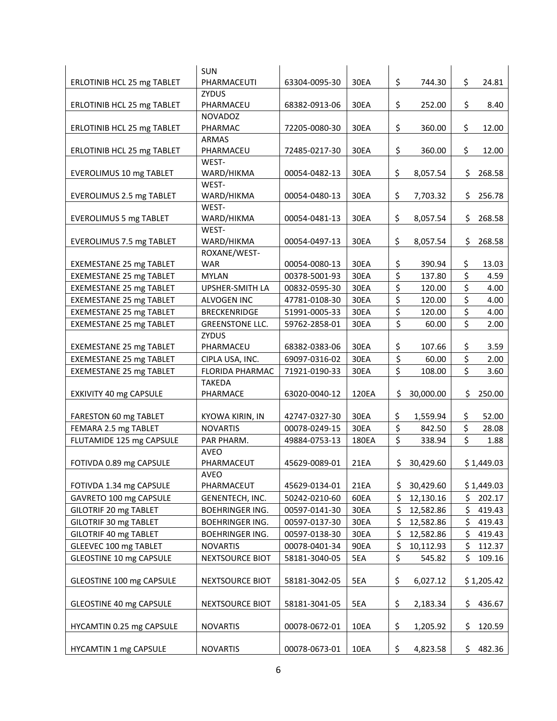|                                | <b>SUN</b>                |               |       |                  |             |     |            |
|--------------------------------|---------------------------|---------------|-------|------------------|-------------|-----|------------|
| ERLOTINIB HCL 25 mg TABLET     | PHARMACEUTI               | 63304-0095-30 | 30EA  | \$               | 744.30      | \$  | 24.81      |
|                                | <b>ZYDUS</b>              |               |       |                  |             |     |            |
| ERLOTINIB HCL 25 mg TABLET     | PHARMACEU                 | 68382-0913-06 | 30EA  | \$               | 252.00      | \$  | 8.40       |
|                                | NOVADOZ                   |               |       |                  |             |     |            |
| ERLOTINIB HCL 25 mg TABLET     | PHARMAC                   | 72205-0080-30 | 30EA  | \$               | 360.00      | \$  | 12.00      |
|                                | <b>ARMAS</b>              |               |       |                  |             |     |            |
| ERLOTINIB HCL 25 mg TABLET     | PHARMACEU                 | 72485-0217-30 | 30EA  | \$               | 360.00      | \$  | 12.00      |
|                                | WEST-                     |               |       | \$               |             |     |            |
| EVEROLIMUS 10 mg TABLET        | WARD/HIKMA<br>WEST-       | 00054-0482-13 | 30EA  |                  | 8,057.54    | \$  | 268.58     |
| EVEROLIMUS 2.5 mg TABLET       | WARD/HIKMA                | 00054-0480-13 | 30EA  | \$               | 7,703.32    | \$  | 256.78     |
|                                | WEST-                     |               |       |                  |             |     |            |
| <b>EVEROLIMUS 5 mg TABLET</b>  | WARD/HIKMA                | 00054-0481-13 | 30EA  | \$               | 8,057.54    | \$  | 268.58     |
|                                | WEST-                     |               |       |                  |             |     |            |
| EVEROLIMUS 7.5 mg TABLET       | WARD/HIKMA                | 00054-0497-13 | 30EA  | \$               | 8,057.54    | \$  | 268.58     |
|                                | ROXANE/WEST-              |               |       |                  |             |     |            |
| <b>EXEMESTANE 25 mg TABLET</b> | <b>WAR</b>                | 00054-0080-13 | 30EA  | \$               | 390.94      | \$  | 13.03      |
| <b>EXEMESTANE 25 mg TABLET</b> | <b>MYLAN</b>              | 00378-5001-93 | 30EA  | \$               | 137.80      | \$  | 4.59       |
| <b>EXEMESTANE 25 mg TABLET</b> | UPSHER-SMITH LA           | 00832-0595-30 | 30EA  | \$               | 120.00      | \$  | 4.00       |
| EXEMESTANE 25 mg TABLET        | ALVOGEN INC               | 47781-0108-30 | 30EA  | \$               | 120.00      | \$  | 4.00       |
| EXEMESTANE 25 mg TABLET        | <b>BRECKENRIDGE</b>       | 51991-0005-33 | 30EA  | \$               | 120.00      | \$  | 4.00       |
| <b>EXEMESTANE 25 mg TABLET</b> | <b>GREENSTONE LLC.</b>    |               | 30EA  | \$               | 60.00       | \$  | 2.00       |
|                                | <b>ZYDUS</b>              | 59762-2858-01 |       |                  |             |     |            |
| <b>EXEMESTANE 25 mg TABLET</b> | PHARMACEU                 | 68382-0383-06 | 30EA  | \$               | 107.66      | \$  | 3.59       |
| <b>EXEMESTANE 25 mg TABLET</b> | CIPLA USA, INC.           | 69097-0316-02 | 30EA  | \$               | 60.00       | \$  | 2.00       |
|                                | FLORIDA PHARMAC           |               |       | $\overline{\xi}$ |             | \$  |            |
| EXEMESTANE 25 mg TABLET        |                           | 71921-0190-33 | 30EA  |                  | 108.00      |     | 3.60       |
| EXKIVITY 40 mg CAPSULE         | <b>TAKEDA</b><br>PHARMACE | 63020-0040-12 | 120EA | \$               | 30,000.00   | \$  | 250.00     |
|                                |                           |               |       |                  |             |     |            |
| FARESTON 60 mg TABLET          | KYOWA KIRIN, IN           | 42747-0327-30 | 30EA  | \$               | 1,559.94    | \$  | 52.00      |
| FEMARA 2.5 mg TABLET           | <b>NOVARTIS</b>           | 00078-0249-15 | 30EA  | \$               | 842.50      | \$  | 28.08      |
| FLUTAMIDE 125 mg CAPSULE       | PAR PHARM.                | 49884-0753-13 | 180EA | \$               | 338.94      | \$  | 1.88       |
|                                | AVEO                      |               |       |                  |             |     |            |
| FOTIVDA 0.89 mg CAPSULE        | PHARMACEUT                | 45629-0089-01 | 21EA  |                  | \$30,429.60 |     | \$1,449.03 |
|                                | AVEO                      |               |       |                  |             |     |            |
| FOTIVDA 1.34 mg CAPSULE        | PHARMACEUT                | 45629-0134-01 | 21EA  | \$               | 30,429.60   |     | \$1,449.03 |
| GAVRETO 100 mg CAPSULE         | GENENTECH, INC.           | 50242-0210-60 | 60EA  | \$               | 12,130.16   | \$  | 202.17     |
| GILOTRIF 20 mg TABLET          | <b>BOEHRINGER ING.</b>    | 00597-0141-30 | 30EA  | \$               | 12,582.86   | \$  | 419.43     |
| GILOTRIF 30 mg TABLET          | <b>BOEHRINGER ING.</b>    | 00597-0137-30 | 30EA  | \$               | 12,582.86   | \$  | 419.43     |
| GILOTRIF 40 mg TABLET          | <b>BOEHRINGER ING.</b>    | 00597-0138-30 | 30EA  | \$               | 12,582.86   | \$  | 419.43     |
| GLEEVEC 100 mg TABLET          | <b>NOVARTIS</b>           | 00078-0401-34 | 90EA  | \$               | 10,112.93   | \$  | 112.37     |
| GLEOSTINE 10 mg CAPSULE        | NEXTSOURCE BIOT           | 58181-3040-05 | 5EA   | \$               | 545.82      | \$  | 109.16     |
|                                |                           |               |       |                  |             |     |            |
| GLEOSTINE 100 mg CAPSULE       | <b>NEXTSOURCE BIOT</b>    | 58181-3042-05 | 5EA   | \$               | 6,027.12    |     | \$1,205.42 |
|                                |                           |               |       |                  |             |     |            |
| GLEOSTINE 40 mg CAPSULE        | NEXTSOURCE BIOT           | 58181-3041-05 | 5EA   | \$               | 2,183.34    | \$  | 436.67     |
|                                |                           |               |       |                  |             |     |            |
| HYCAMTIN 0.25 mg CAPSULE       | <b>NOVARTIS</b>           | 00078-0672-01 | 10EA  | \$               | 1,205.92    | \$  | 120.59     |
| HYCAMTIN 1 mg CAPSULE          |                           |               | 10EA  |                  | 4,823.58    |     |            |
|                                | <b>NOVARTIS</b>           | 00078-0673-01 |       | \$               |             | \$. | 482.36     |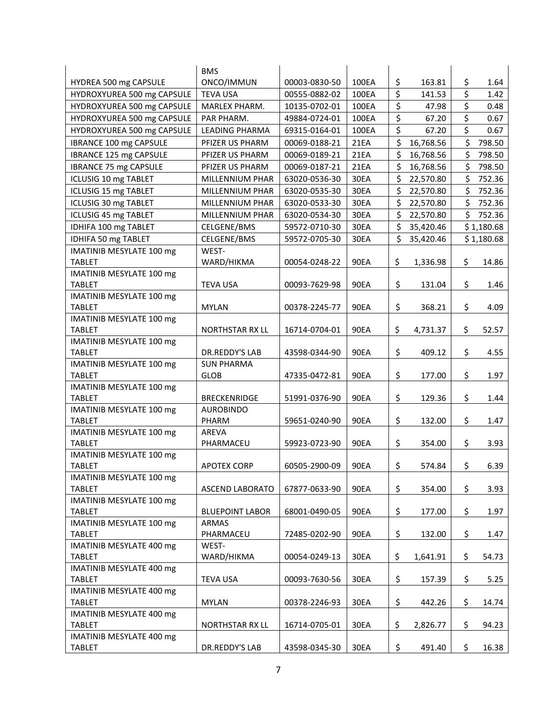|                                           | <b>BMS</b>             |               |             |                 |              |
|-------------------------------------------|------------------------|---------------|-------------|-----------------|--------------|
| HYDREA 500 mg CAPSULE                     | ONCO/IMMUN             | 00003-0830-50 | 100EA       | \$<br>163.81    | \$<br>1.64   |
| HYDROXYUREA 500 mg CAPSULE                | <b>TEVA USA</b>        | 00555-0882-02 | 100EA       | \$<br>141.53    | \$<br>1.42   |
| HYDROXYUREA 500 mg CAPSULE                | MARLEX PHARM.          | 10135-0702-01 | 100EA       | \$<br>47.98     | \$<br>0.48   |
| HYDROXYUREA 500 mg CAPSULE                | PAR PHARM.             | 49884-0724-01 | 100EA       | \$<br>67.20     | \$<br>0.67   |
| HYDROXYUREA 500 mg CAPSULE                | <b>LEADING PHARMA</b>  | 69315-0164-01 | 100EA       | \$<br>67.20     | \$<br>0.67   |
| IBRANCE 100 mg CAPSULE                    | PFIZER US PHARM        | 00069-0188-21 | 21EA        | \$<br>16,768.56 | \$<br>798.50 |
| IBRANCE 125 mg CAPSULE                    | PFIZER US PHARM        | 00069-0189-21 | 21EA        | \$<br>16,768.56 | \$<br>798.50 |
| <b>IBRANCE 75 mg CAPSULE</b>              | PFIZER US PHARM        | 00069-0187-21 | 21EA        | \$<br>16,768.56 | \$<br>798.50 |
| ICLUSIG 10 mg TABLET                      | <b>MILLENNIUM PHAR</b> | 63020-0536-30 | 30EA        | \$<br>22,570.80 | \$<br>752.36 |
| ICLUSIG 15 mg TABLET                      | MILLENNIUM PHAR        | 63020-0535-30 | 30EA        | \$<br>22,570.80 | \$<br>752.36 |
| ICLUSIG 30 mg TABLET                      | MILLENNIUM PHAR        | 63020-0533-30 | 30EA        | \$<br>22,570.80 | \$<br>752.36 |
|                                           |                        |               |             | \$              | \$           |
| ICLUSIG 45 mg TABLET                      | MILLENNIUM PHAR        | 63020-0534-30 | 30EA        | \$<br>22,570.80 | 752.36       |
| IDHIFA 100 mg TABLET                      | CELGENE/BMS            | 59572-0710-30 | 30EA        | 35,420.46       | \$1,180.68   |
| IDHIFA 50 mg TABLET                       | CELGENE/BMS            | 59572-0705-30 | 30EA        | \$<br>35,420.46 | \$1,180.68   |
| IMATINIB MESYLATE 100 mg                  | WEST-                  |               |             |                 |              |
| <b>TABLET</b>                             | WARD/HIKMA             | 00054-0248-22 | 90EA        | \$<br>1,336.98  | \$<br>14.86  |
| IMATINIB MESYLATE 100 mg                  |                        |               |             |                 |              |
| <b>TABLET</b>                             | <b>TEVA USA</b>        | 00093-7629-98 | 90EA        | \$<br>131.04    | \$<br>1.46   |
| IMATINIB MESYLATE 100 mg                  | <b>MYLAN</b>           |               |             | \$              | \$           |
| <b>TABLET</b>                             |                        | 00378-2245-77 | 90EA        | 368.21          | 4.09         |
| IMATINIB MESYLATE 100 mg<br><b>TABLET</b> | <b>NORTHSTAR RX LL</b> | 16714-0704-01 | 90EA        | \$<br>4,731.37  | \$<br>52.57  |
| IMATINIB MESYLATE 100 mg                  |                        |               |             |                 |              |
| <b>TABLET</b>                             | DR.REDDY'S LAB         | 43598-0344-90 | <b>90EA</b> | \$<br>409.12    | \$<br>4.55   |
| IMATINIB MESYLATE 100 mg                  | <b>SUN PHARMA</b>      |               |             |                 |              |
| <b>TABLET</b>                             | <b>GLOB</b>            | 47335-0472-81 | 90EA        | \$<br>177.00    | \$<br>1.97   |
| IMATINIB MESYLATE 100 mg                  |                        |               |             |                 |              |
| <b>TABLET</b>                             | <b>BRECKENRIDGE</b>    | 51991-0376-90 | <b>90EA</b> | \$<br>129.36    | \$<br>1.44   |
| IMATINIB MESYLATE 100 mg                  | <b>AUROBINDO</b>       |               |             |                 |              |
| <b>TABLET</b>                             | PHARM                  | 59651-0240-90 | 90EA        | \$<br>132.00    | \$<br>1.47   |
| IMATINIB MESYLATE 100 mg                  | AREVA                  |               |             |                 |              |
| <b>TABLET</b>                             | PHARMACEU              | 59923-0723-90 | <b>90EA</b> | \$<br>354.00    | \$<br>3.93   |
| IMATINIB MESYLATE 100 mg                  |                        |               |             |                 |              |
| <b>TABLET</b>                             | <b>APOTEX CORP</b>     | 60505-2900-09 | <b>90EA</b> | \$<br>574.84    | \$<br>6.39   |
| IMATINIB MESYLATE 100 mg                  |                        |               |             |                 |              |
| <b>TABLET</b>                             | <b>ASCEND LABORATO</b> | 67877-0633-90 | 90EA        | \$<br>354.00    | \$<br>3.93   |
| IMATINIB MESYLATE 100 mg                  |                        |               |             |                 |              |
| <b>TABLET</b>                             | <b>BLUEPOINT LABOR</b> | 68001-0490-05 | 90EA        | \$<br>177.00    | \$<br>1.97   |
| IMATINIB MESYLATE 100 mg                  | ARMAS                  |               |             |                 |              |
| <b>TABLET</b>                             | PHARMACEU              | 72485-0202-90 | 90EA        | \$<br>132.00    | \$<br>1.47   |
| IMATINIB MESYLATE 400 mg                  | WEST-                  |               |             |                 |              |
| <b>TABLET</b>                             | WARD/HIKMA             | 00054-0249-13 | 30EA        | \$<br>1,641.91  | \$<br>54.73  |
| IMATINIB MESYLATE 400 mg                  |                        |               |             |                 |              |
| <b>TABLET</b>                             | <b>TEVA USA</b>        | 00093-7630-56 | 30EA        | \$<br>157.39    | \$<br>5.25   |
| IMATINIB MESYLATE 400 mg                  |                        |               |             |                 |              |
| TABLET                                    | <b>MYLAN</b>           | 00378-2246-93 | 30EA        | \$<br>442.26    | \$<br>14.74  |
| IMATINIB MESYLATE 400 mg                  |                        |               |             |                 |              |
| <b>TABLET</b>                             | NORTHSTAR RX LL        | 16714-0705-01 | 30EA        | \$<br>2,826.77  | \$<br>94.23  |
| IMATINIB MESYLATE 400 mg                  |                        |               |             |                 |              |
| <b>TABLET</b>                             | DR.REDDY'S LAB         | 43598-0345-30 | 30EA        | \$<br>491.40    | \$<br>16.38  |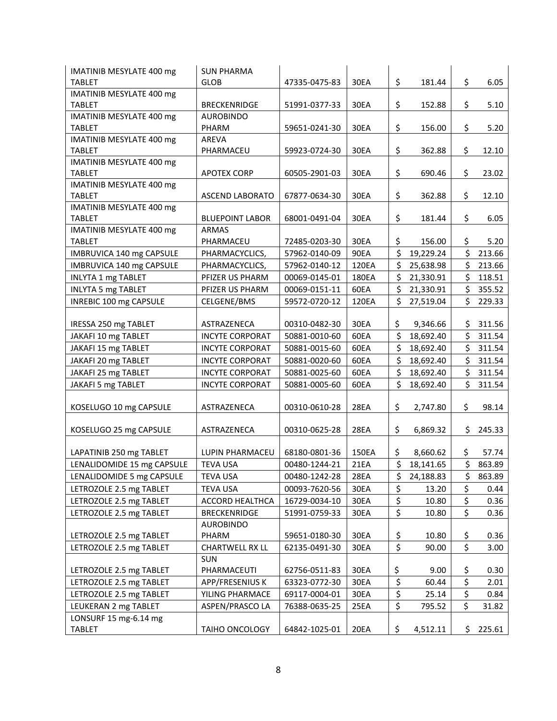| <b>IMATINIB MESYLATE 400 mg</b>                  | <b>SUN PHARMA</b>         |               |       |                                 |           |              |
|--------------------------------------------------|---------------------------|---------------|-------|---------------------------------|-----------|--------------|
| <b>TABLET</b>                                    | <b>GLOB</b>               | 47335-0475-83 | 30EA  | \$                              | 181.44    | \$<br>6.05   |
| IMATINIB MESYLATE 400 mg                         |                           |               |       |                                 |           |              |
| <b>TABLET</b>                                    | <b>BRECKENRIDGE</b>       | 51991-0377-33 | 30EA  | \$                              | 152.88    | \$<br>5.10   |
| IMATINIB MESYLATE 400 mg                         | <b>AUROBINDO</b>          |               |       |                                 |           |              |
| <b>TABLET</b>                                    | PHARM                     | 59651-0241-30 | 30EA  | \$                              | 156.00    | \$<br>5.20   |
| IMATINIB MESYLATE 400 mg                         | AREVA                     |               |       |                                 |           |              |
| <b>TABLET</b>                                    | PHARMACEU                 | 59923-0724-30 | 30EA  | \$                              | 362.88    | \$<br>12.10  |
| IMATINIB MESYLATE 400 mg                         |                           |               |       |                                 |           |              |
| <b>TABLET</b>                                    | <b>APOTEX CORP</b>        | 60505-2901-03 | 30EA  | \$                              | 690.46    | \$<br>23.02  |
| IMATINIB MESYLATE 400 mg                         |                           |               |       |                                 |           |              |
| <b>TABLET</b>                                    | <b>ASCEND LABORATO</b>    | 67877-0634-30 | 30EA  | \$                              | 362.88    | \$<br>12.10  |
| IMATINIB MESYLATE 400 mg                         |                           |               |       |                                 |           |              |
| <b>TABLET</b>                                    | <b>BLUEPOINT LABOR</b>    | 68001-0491-04 | 30EA  | \$                              | 181.44    | \$<br>6.05   |
| <b>IMATINIB MESYLATE 400 mg</b><br><b>TABLET</b> | <b>ARMAS</b><br>PHARMACEU | 72485-0203-30 | 30EA  | \$                              | 156.00    | \$<br>5.20   |
|                                                  |                           |               | 90EA  | \$                              | 19,229.24 | \$<br>213.66 |
| IMBRUVICA 140 mg CAPSULE                         | PHARMACYCLICS,            | 57962-0140-09 |       | \$                              |           | \$           |
| IMBRUVICA 140 mg CAPSULE                         | PHARMACYCLICS,            | 57962-0140-12 | 120EA |                                 | 25,638.98 | 213.66       |
| <b>INLYTA 1 mg TABLET</b>                        | PFIZER US PHARM           | 00069-0145-01 | 180EA | \$                              | 21,330.91 | \$<br>118.51 |
| <b>INLYTA 5 mg TABLET</b>                        | PFIZER US PHARM           | 00069-0151-11 | 60EA  | \$                              | 21,330.91 | \$<br>355.52 |
| INREBIC 100 mg CAPSULE                           | CELGENE/BMS               | 59572-0720-12 | 120EA | \$                              | 27,519.04 | \$<br>229.33 |
|                                                  |                           |               |       |                                 |           |              |
| IRESSA 250 mg TABLET                             | ASTRAZENECA               | 00310-0482-30 | 30EA  | \$                              | 9,346.66  | \$311.56     |
| JAKAFI 10 mg TABLET                              | <b>INCYTE CORPORAT</b>    | 50881-0010-60 | 60EA  | \$                              | 18,692.40 | \$<br>311.54 |
| JAKAFI 15 mg TABLET                              | <b>INCYTE CORPORAT</b>    | 50881-0015-60 | 60EA  | \$                              | 18,692.40 | \$<br>311.54 |
| JAKAFI 20 mg TABLET                              | <b>INCYTE CORPORAT</b>    | 50881-0020-60 | 60EA  | \$                              | 18,692.40 | \$<br>311.54 |
| JAKAFI 25 mg TABLET                              | <b>INCYTE CORPORAT</b>    | 50881-0025-60 | 60EA  | \$                              | 18,692.40 | \$<br>311.54 |
| JAKAFI 5 mg TABLET                               | <b>INCYTE CORPORAT</b>    | 50881-0005-60 | 60EA  | \$                              | 18,692.40 | \$<br>311.54 |
| KOSELUGO 10 mg CAPSULE                           | ASTRAZENECA               | 00310-0610-28 | 28EA  | \$                              | 2,747.80  | \$<br>98.14  |
|                                                  |                           |               |       |                                 |           |              |
| KOSELUGO 25 mg CAPSULE                           | ASTRAZENECA               | 00310-0625-28 | 28EA  | \$                              | 6,869.32  | \$<br>245.33 |
| LAPATINIB 250 mg TABLET                          | LUPIN PHARMACEU           | 68180-0801-36 | 150EA | \$                              | 8,660.62  | \$<br>57.74  |
| LENALIDOMIDE 15 mg CAPSULE                       | <b>TEVA USA</b>           | 00480-1244-21 | 21EA  | \$                              | 18,141.65 | \$<br>863.89 |
| LENALIDOMIDE 5 mg CAPSULE                        | <b>TEVA USA</b>           | 00480-1242-28 | 28EA  | \$                              | 24,188.83 | \$<br>863.89 |
| LETROZOLE 2.5 mg TABLET                          | <b>TEVA USA</b>           | 00093-7620-56 | 30EA  | \$                              | 13.20     | \$<br>0.44   |
| LETROZOLE 2.5 mg TABLET                          | ACCORD HEALTHCA           | 16729-0034-10 | 30EA  | \$                              | 10.80     | \$<br>0.36   |
| LETROZOLE 2.5 mg TABLET                          | <b>BRECKENRIDGE</b>       | 51991-0759-33 | 30EA  | \$                              | 10.80     | \$<br>0.36   |
|                                                  | <b>AUROBINDO</b>          |               |       |                                 |           |              |
| LETROZOLE 2.5 mg TABLET                          | PHARM                     | 59651-0180-30 | 30EA  | \$                              | 10.80     | \$<br>0.36   |
| LETROZOLE 2.5 mg TABLET                          | <b>CHARTWELL RX LL</b>    | 62135-0491-30 | 30EA  | \$                              | 90.00     | \$<br>3.00   |
|                                                  | <b>SUN</b>                |               |       |                                 |           |              |
| LETROZOLE 2.5 mg TABLET                          | PHARMACEUTI               | 62756-0511-83 | 30EA  | \$                              | 9.00      | \$<br>0.30   |
| LETROZOLE 2.5 mg TABLET                          | APP/FRESENIUS K           | 63323-0772-30 | 30EA  | \$                              | 60.44     | \$<br>2.01   |
| LETROZOLE 2.5 mg TABLET                          | YILING PHARMACE           | 69117-0004-01 | 30EA  | \$                              | 25.14     | \$<br>0.84   |
| LEUKERAN 2 mg TABLET                             | ASPEN/PRASCO LA           | 76388-0635-25 | 25EA  | $\overline{\boldsymbol{\zeta}}$ | 795.52    | \$<br>31.82  |
| LONSURF 15 mg-6.14 mg                            |                           |               |       |                                 |           |              |
| <b>TABLET</b>                                    | TAIHO ONCOLOGY            | 64842-1025-01 | 20EA  | \$                              | 4,512.11  | \$<br>225.61 |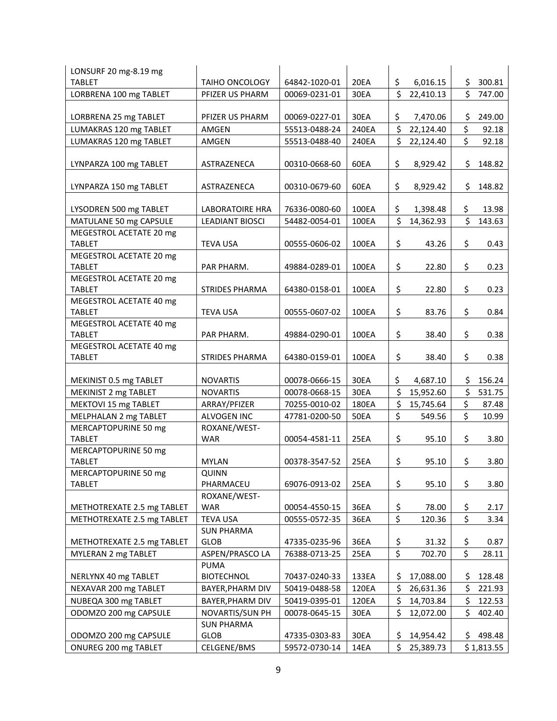| LONSURF 20 mg-8.19 mg                 |                             |               |             |                      |           |     |            |
|---------------------------------------|-----------------------------|---------------|-------------|----------------------|-----------|-----|------------|
| <b>TABLET</b>                         | <b>TAIHO ONCOLOGY</b>       | 64842-1020-01 | 20EA        | \$                   | 6,016.15  | \$  | 300.81     |
| LORBRENA 100 mg TABLET                | PFIZER US PHARM             | 00069-0231-01 | 30EA        | \$                   | 22,410.13 | \$  | 747.00     |
|                                       |                             |               |             |                      |           |     |            |
| LORBRENA 25 mg TABLET                 | PFIZER US PHARM             | 00069-0227-01 | 30EA        | \$                   | 7,470.06  | \$  | 249.00     |
| LUMAKRAS 120 mg TABLET                | AMGEN                       | 55513-0488-24 | 240EA       | $\boldsymbol{\zeta}$ | 22,124.40 | \$  | 92.18      |
| LUMAKRAS 120 mg TABLET                | AMGEN                       | 55513-0488-40 | 240EA       | \$                   | 22,124.40 | \$  | 92.18      |
|                                       |                             |               |             |                      |           |     |            |
| LYNPARZA 100 mg TABLET                | ASTRAZENECA                 | 00310-0668-60 | 60EA        | \$                   | 8,929.42  | \$  | 148.82     |
|                                       |                             |               | 60EA        |                      |           |     |            |
| LYNPARZA 150 mg TABLET                | ASTRAZENECA                 | 00310-0679-60 |             | \$                   | 8,929.42  | \$  | 148.82     |
| LYSODREN 500 mg TABLET                | <b>LABORATOIRE HRA</b>      | 76336-0080-60 | 100EA       | \$                   | 1,398.48  | \$. | 13.98      |
| MATULANE 50 mg CAPSULE                | <b>LEADIANT BIOSCI</b>      | 54482-0054-01 | 100EA       | \$                   | 14,362.93 | \$  | 143.63     |
| MEGESTROL ACETATE 20 mg               |                             |               |             |                      |           |     |            |
| <b>TABLET</b>                         | <b>TEVA USA</b>             | 00555-0606-02 | 100EA       | \$                   | 43.26     | \$  | 0.43       |
| MEGESTROL ACETATE 20 mg               |                             |               |             |                      |           |     |            |
| <b>TABLET</b>                         | PAR PHARM.                  | 49884-0289-01 | 100EA       | \$                   | 22.80     | \$  | 0.23       |
| MEGESTROL ACETATE 20 mg               |                             |               |             |                      |           |     |            |
| <b>TABLET</b>                         | <b>STRIDES PHARMA</b>       | 64380-0158-01 | 100EA       | \$                   | 22.80     | \$  | 0.23       |
| MEGESTROL ACETATE 40 mg               |                             |               |             |                      |           |     |            |
| <b>TABLET</b>                         | <b>TEVA USA</b>             | 00555-0607-02 | 100EA       | \$                   | 83.76     | \$  | 0.84       |
| MEGESTROL ACETATE 40 mg               |                             |               |             |                      |           |     |            |
| <b>TABLET</b>                         | PAR PHARM.                  | 49884-0290-01 | 100EA       | \$                   | 38.40     | \$  | 0.38       |
| MEGESTROL ACETATE 40 mg               |                             |               |             |                      |           |     |            |
| <b>TABLET</b>                         | <b>STRIDES PHARMA</b>       | 64380-0159-01 | 100EA       | \$                   | 38.40     | \$  | 0.38       |
| MEKINIST 0.5 mg TABLET                | <b>NOVARTIS</b>             | 00078-0666-15 | 30EA        | \$                   | 4,687.10  | \$  | 156.24     |
| MEKINIST 2 mg TABLET                  | <b>NOVARTIS</b>             | 00078-0668-15 | 30EA        | \$                   | 15,952.60 | \$  | 531.75     |
| MEKTOVI 15 mg TABLET                  |                             | 70255-0010-02 | 180EA       | \$                   | 15,745.64 | \$  | 87.48      |
|                                       | ARRAY/PFIZER                |               |             | \$                   |           | \$  |            |
| MELPHALAN 2 mg TABLET                 | ALVOGEN INC<br>ROXANE/WEST- | 47781-0200-50 | <b>50EA</b> |                      | 549.56    |     | 10.99      |
| MERCAPTOPURINE 50 mg                  |                             |               |             |                      |           |     |            |
| <b>TABLET</b>                         | <b>WAR</b>                  | 00054-4581-11 | 25EA        | \$                   | 95.10     | \$  | 3.80       |
| MERCAPTOPURINE 50 mg<br><b>TABLET</b> | <b>MYLAN</b>                | 00378-3547-52 | 25EA        | \$                   | 95.10     | \$  | 3.80       |
|                                       | <b>QUINN</b>                |               |             |                      |           |     |            |
| MERCAPTOPURINE 50 mg<br>TABLET        | PHARMACEU                   | 69076-0913-02 | 25EA        | \$                   | 95.10     | \$  | 3.80       |
|                                       | ROXANE/WEST-                |               |             |                      |           |     |            |
| METHOTREXATE 2.5 mg TABLET            | <b>WAR</b>                  | 00054-4550-15 | 36EA        | \$                   | 78.00     | \$  | 2.17       |
| METHOTREXATE 2.5 mg TABLET            | <b>TEVA USA</b>             | 00555-0572-35 | 36EA        | \$                   | 120.36    | \$  | 3.34       |
|                                       | <b>SUN PHARMA</b>           |               |             |                      |           |     |            |
| METHOTREXATE 2.5 mg TABLET            | <b>GLOB</b>                 | 47335-0235-96 | 36EA        | \$                   | 31.32     | \$  | 0.87       |
| MYLERAN 2 mg TABLET                   | ASPEN/PRASCO LA             | 76388-0713-25 | 25EA        | \$                   | 702.70    | \$  | 28.11      |
|                                       | <b>PUMA</b>                 |               |             |                      |           |     |            |
| NERLYNX 40 mg TABLET                  | <b>BIOTECHNOL</b>           | 70437-0240-33 | 133EA       | \$                   | 17,088.00 | \$  | 128.48     |
| NEXAVAR 200 mg TABLET                 | BAYER, PHARM DIV            | 50419-0488-58 | 120EA       | \$                   | 26,631.36 | \$  | 221.93     |
| NUBEQA 300 mg TABLET                  | BAYER, PHARM DIV            | 50419-0395-01 | 120EA       | \$                   | 14,703.84 | \$  | 122.53     |
| ODOMZO 200 mg CAPSULE                 | NOVARTIS/SUN PH             | 00078-0645-15 | 30EA        | \$                   | 12,072.00 | \$  | 402.40     |
|                                       | <b>SUN PHARMA</b>           |               |             |                      |           |     |            |
| ODOMZO 200 mg CAPSULE                 | <b>GLOB</b>                 | 47335-0303-83 | 30EA        | \$                   | 14,954.42 | \$  | 498.48     |
| ONUREG 200 mg TABLET                  | CELGENE/BMS                 | 59572-0730-14 | 14EA        | \$                   | 25,389.73 |     | \$1,813.55 |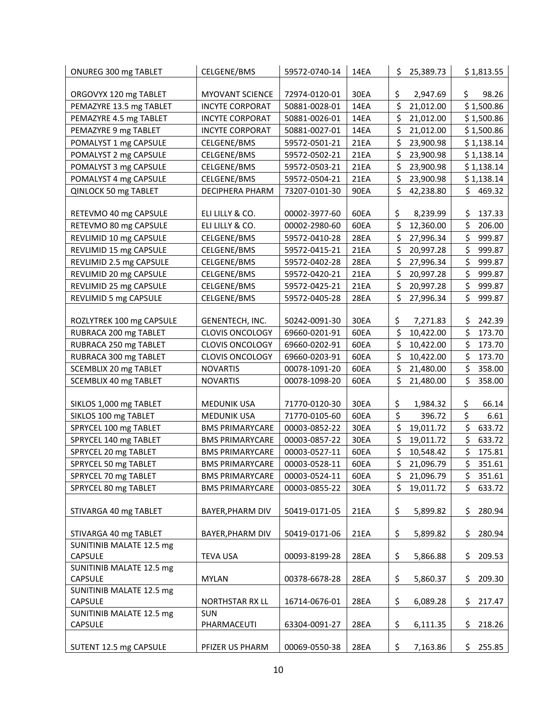| ONUREG 300 mg TABLET            | CELGENE/BMS            | 59572-0740-14 | 14EA        | \$<br>25,389.73 |     | \$1,813.55 |
|---------------------------------|------------------------|---------------|-------------|-----------------|-----|------------|
|                                 |                        |               |             |                 |     |            |
| ORGOVYX 120 mg TABLET           | <b>MYOVANT SCIENCE</b> | 72974-0120-01 | 30EA        | \$<br>2,947.69  | \$. | 98.26      |
| PEMAZYRE 13.5 mg TABLET         | <b>INCYTE CORPORAT</b> | 50881-0028-01 | 14EA        | \$<br>21,012.00 |     | \$1,500.86 |
| PEMAZYRE 4.5 mg TABLET          | <b>INCYTE CORPORAT</b> | 50881-0026-01 | 14EA        | \$<br>21,012.00 |     | \$1,500.86 |
| PEMAZYRE 9 mg TABLET            | <b>INCYTE CORPORAT</b> | 50881-0027-01 | 14EA        | \$<br>21,012.00 |     | \$1,500.86 |
| POMALYST 1 mg CAPSULE           | CELGENE/BMS            | 59572-0501-21 | 21EA        | \$<br>23,900.98 |     | \$1,138.14 |
| POMALYST 2 mg CAPSULE           | CELGENE/BMS            | 59572-0502-21 | 21EA        | \$<br>23,900.98 |     | \$1,138.14 |
| POMALYST 3 mg CAPSULE           | CELGENE/BMS            | 59572-0503-21 | 21EA        | \$<br>23,900.98 |     | \$1,138.14 |
| POMALYST 4 mg CAPSULE           | CELGENE/BMS            | 59572-0504-21 | 21EA        | \$<br>23,900.98 |     | \$1,138.14 |
| QINLOCK 50 mg TABLET            | DECIPHERA PHARM        | 73207-0101-30 | 90EA        | \$<br>42,238.80 |     | \$469.32   |
|                                 |                        |               |             |                 |     |            |
| RETEVMO 40 mg CAPSULE           | ELI LILLY & CO.        | 00002-3977-60 | 60EA        | \$<br>8,239.99  | \$  | 137.33     |
| RETEVMO 80 mg CAPSULE           | ELI LILLY & CO.        | 00002-2980-60 | 60EA        | \$<br>12,360.00 | \$  | 206.00     |
| REVLIMID 10 mg CAPSULE          | CELGENE/BMS            | 59572-0410-28 | <b>28EA</b> | \$<br>27,996.34 | \$  | 999.87     |
| REVLIMID 15 mg CAPSULE          | CELGENE/BMS            | 59572-0415-21 | 21EA        | \$<br>20,997.28 | \$  | 999.87     |
| REVLIMID 2.5 mg CAPSULE         | CELGENE/BMS            | 59572-0402-28 | <b>28EA</b> | \$<br>27,996.34 | \$  | 999.87     |
| REVLIMID 20 mg CAPSULE          | CELGENE/BMS            | 59572-0420-21 | 21EA        | \$<br>20,997.28 | \$  | 999.87     |
| REVLIMID 25 mg CAPSULE          | CELGENE/BMS            | 59572-0425-21 | 21EA        | \$<br>20,997.28 | \$  | 999.87     |
| REVLIMID 5 mg CAPSULE           | CELGENE/BMS            | 59572-0405-28 | <b>28EA</b> | \$<br>27,996.34 | \$  | 999.87     |
|                                 |                        |               |             |                 |     |            |
| ROZLYTREK 100 mg CAPSULE        | GENENTECH, INC.        | 50242-0091-30 | 30EA        | \$<br>7,271.83  | \$  | 242.39     |
| RUBRACA 200 mg TABLET           | CLOVIS ONCOLOGY        | 69660-0201-91 | 60EA        | \$<br>10,422.00 | \$  | 173.70     |
| RUBRACA 250 mg TABLET           | <b>CLOVIS ONCOLOGY</b> | 69660-0202-91 | 60EA        | \$<br>10,422.00 | \$  | 173.70     |
| RUBRACA 300 mg TABLET           | CLOVIS ONCOLOGY        | 69660-0203-91 | 60EA        | \$<br>10,422.00 | \$  | 173.70     |
| SCEMBLIX 20 mg TABLET           | <b>NOVARTIS</b>        | 00078-1091-20 | 60EA        | \$<br>21,480.00 | \$  | 358.00     |
| SCEMBLIX 40 mg TABLET           | <b>NOVARTIS</b>        | 00078-1098-20 | 60EA        | \$<br>21,480.00 | \$  | 358.00     |
|                                 |                        |               |             |                 |     |            |
| SIKLOS 1,000 mg TABLET          | <b>MEDUNIK USA</b>     | 71770-0120-30 | 30EA        | \$<br>1,984.32  | \$  | 66.14      |
| SIKLOS 100 mg TABLET            | MEDUNIK USA            | 71770-0105-60 | 60EA        | \$<br>396.72    | \$  | 6.61       |
| SPRYCEL 100 mg TABLET           | <b>BMS PRIMARYCARE</b> | 00003-0852-22 | 30EA        | \$<br>19,011.72 | \$  | 633.72     |
| SPRYCEL 140 mg TABLET           | <b>BMS PRIMARYCARE</b> | 00003-0857-22 | 30EA        | \$<br>19,011.72 | \$  | 633.72     |
| SPRYCEL 20 mg TABLET            | <b>BMS PRIMARYCARE</b> | 00003-0527-11 | 60EA        | \$<br>10,548.42 | \$  | 175.81     |
| SPRYCEL 50 mg TABLET            | <b>BMS PRIMARYCARE</b> | 00003-0528-11 | 60EA        | \$<br>21,096.79 | \$  | 351.61     |
| SPRYCEL 70 mg TABLET            | <b>BMS PRIMARYCARE</b> | 00003-0524-11 | 60EA        | \$<br>21,096.79 | \$. | 351.61     |
| SPRYCEL 80 mg TABLET            | <b>BMS PRIMARYCARE</b> | 00003-0855-22 | 30EA        | \$<br>19,011.72 | \$  | 633.72     |
|                                 |                        |               |             |                 |     |            |
| STIVARGA 40 mg TABLET           | BAYER, PHARM DIV       | 50419-0171-05 | 21EA        | \$<br>5,899.82  | \$  | 280.94     |
|                                 |                        |               |             |                 |     |            |
| STIVARGA 40 mg TABLET           | BAYER, PHARM DIV       | 50419-0171-06 | 21EA        | \$<br>5,899.82  | \$. | 280.94     |
| <b>SUNITINIB MALATE 12.5 mg</b> |                        |               |             |                 |     |            |
| <b>CAPSULE</b>                  | TEVA USA               | 00093-8199-28 | 28EA        | \$<br>5,866.88  | \$  | 209.53     |
| SUNITINIB MALATE 12.5 mg        |                        |               |             |                 |     |            |
| <b>CAPSULE</b>                  | <b>MYLAN</b>           | 00378-6678-28 | 28EA        | \$<br>5,860.37  | \$  | 209.30     |
| SUNITINIB MALATE 12.5 mg        |                        |               |             |                 |     |            |
| <b>CAPSULE</b>                  | NORTHSTAR RX LL        | 16714-0676-01 | 28EA        | \$<br>6,089.28  | \$  | 217.47     |
| SUNITINIB MALATE 12.5 mg        | <b>SUN</b>             |               |             |                 |     |            |
| CAPSULE                         | PHARMACEUTI            | 63304-0091-27 | 28EA        | \$<br>6,111.35  | \$. | 218.26     |
|                                 |                        |               |             |                 |     |            |
| SUTENT 12.5 mg CAPSULE          | PFIZER US PHARM        | 00069-0550-38 | 28EA        | \$<br>7,163.86  | \$. | 255.85     |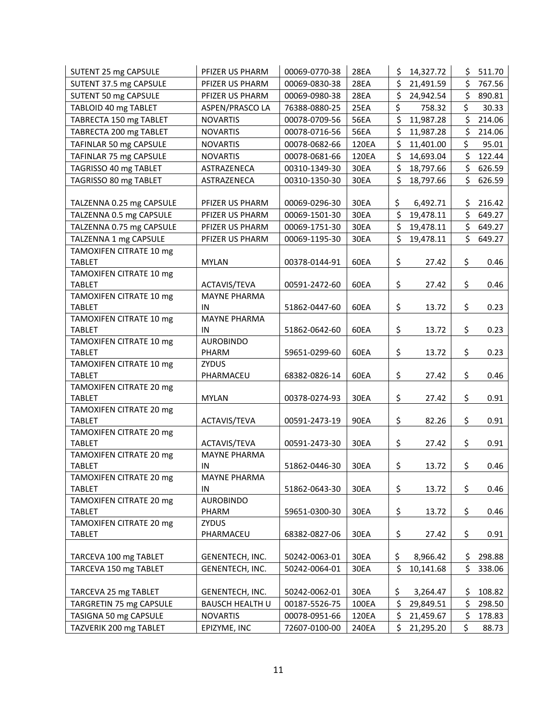| SUTENT 25 mg CAPSULE                     | PFIZER US PHARM           | 00069-0770-38 | 28EA        | \$<br>14,327.72 | \$  | 511.70 |
|------------------------------------------|---------------------------|---------------|-------------|-----------------|-----|--------|
| SUTENT 37.5 mg CAPSULE                   | PFIZER US PHARM           | 00069-0830-38 | 28EA        | \$<br>21,491.59 | \$  | 767.56 |
| SUTENT 50 mg CAPSULE                     | PFIZER US PHARM           | 00069-0980-38 | 28EA        | \$<br>24,942.54 | \$  | 890.81 |
| TABLOID 40 mg TABLET                     | ASPEN/PRASCO LA           | 76388-0880-25 | 25EA        | \$<br>758.32    | \$  | 30.33  |
| TABRECTA 150 mg TABLET                   | <b>NOVARTIS</b>           | 00078-0709-56 | <b>56EA</b> | \$<br>11,987.28 | \$  | 214.06 |
| TABRECTA 200 mg TABLET                   | <b>NOVARTIS</b>           | 00078-0716-56 | <b>56EA</b> | \$<br>11,987.28 | \$  | 214.06 |
| TAFINLAR 50 mg CAPSULE                   | <b>NOVARTIS</b>           | 00078-0682-66 | 120EA       | \$<br>11,401.00 | \$  | 95.01  |
| TAFINLAR 75 mg CAPSULE                   | <b>NOVARTIS</b>           | 00078-0681-66 | 120EA       | \$<br>14,693.04 | \$  | 122.44 |
| TAGRISSO 40 mg TABLET                    | ASTRAZENECA               | 00310-1349-30 | 30EA        | \$<br>18,797.66 | \$  | 626.59 |
| TAGRISSO 80 mg TABLET                    | ASTRAZENECA               | 00310-1350-30 | 30EA        | \$<br>18,797.66 | \$  | 626.59 |
|                                          |                           |               |             |                 |     |        |
| TALZENNA 0.25 mg CAPSULE                 | PFIZER US PHARM           | 00069-0296-30 | 30EA        | \$<br>6,492.71  | \$. | 216.42 |
| TALZENNA 0.5 mg CAPSULE                  | PFIZER US PHARM           | 00069-1501-30 | 30EA        | \$<br>19,478.11 | \$  | 649.27 |
| TALZENNA 0.75 mg CAPSULE                 | PFIZER US PHARM           | 00069-1751-30 | 30EA        | \$<br>19,478.11 | \$  | 649.27 |
| TALZENNA 1 mg CAPSULE                    | PFIZER US PHARM           | 00069-1195-30 | 30EA        | \$<br>19,478.11 | \$  | 649.27 |
| TAMOXIFEN CITRATE 10 mg                  |                           |               |             |                 |     |        |
| <b>TABLET</b>                            | <b>MYLAN</b>              | 00378-0144-91 | 60EA        | \$<br>27.42     | \$  | 0.46   |
| TAMOXIFEN CITRATE 10 mg                  |                           |               |             |                 |     |        |
| <b>TABLET</b>                            | ACTAVIS/TEVA              | 00591-2472-60 | 60EA        | \$<br>27.42     | \$  | 0.46   |
| TAMOXIFEN CITRATE 10 mg                  | <b>MAYNE PHARMA</b><br>IN |               |             |                 | \$  | 0.23   |
| <b>TABLET</b><br>TAMOXIFEN CITRATE 10 mg | <b>MAYNE PHARMA</b>       | 51862-0447-60 | 60EA        | \$<br>13.72     |     |        |
| <b>TABLET</b>                            | IN                        | 51862-0642-60 | 60EA        | \$<br>13.72     | \$  | 0.23   |
| TAMOXIFEN CITRATE 10 mg                  | <b>AUROBINDO</b>          |               |             |                 |     |        |
| <b>TABLET</b>                            | PHARM                     | 59651-0299-60 | 60EA        | \$<br>13.72     | \$  | 0.23   |
| TAMOXIFEN CITRATE 10 mg                  | ZYDUS                     |               |             |                 |     |        |
| <b>TABLET</b>                            | PHARMACEU                 | 68382-0826-14 | 60EA        | \$<br>27.42     | \$  | 0.46   |
| TAMOXIFEN CITRATE 20 mg                  |                           |               |             |                 |     |        |
| <b>TABLET</b>                            | <b>MYLAN</b>              | 00378-0274-93 | 30EA        | \$<br>27.42     | \$  | 0.91   |
| TAMOXIFEN CITRATE 20 mg                  |                           |               |             |                 |     |        |
| <b>TABLET</b>                            | ACTAVIS/TEVA              | 00591-2473-19 | <b>90EA</b> | \$<br>82.26     | \$  | 0.91   |
| TAMOXIFEN CITRATE 20 mg                  |                           |               |             |                 |     |        |
| <b>TABLET</b>                            | ACTAVIS/TEVA              | 00591-2473-30 | 30EA        | \$<br>27.42     | \$  | 0.91   |
| TAMOXIFEN CITRATE 20 mg                  | <b>MAYNE PHARMA</b>       |               |             |                 |     |        |
| <b>TABLET</b>                            | IN                        | 51862-0446-30 | 30EA        | \$<br>13.72     | \$  | 0.46   |
| TAMOXIFEN CITRATE 20 mg                  | <b>MAYNE PHARMA</b>       |               |             |                 |     |        |
| <b>TABLET</b>                            | IN                        | 51862-0643-30 | 30EA        | \$<br>13.72     | \$  | 0.46   |
| TAMOXIFEN CITRATE 20 mg                  | <b>AUROBINDO</b>          |               |             |                 |     |        |
| <b>TABLET</b><br>TAMOXIFEN CITRATE 20 mg | PHARM<br>ZYDUS            | 59651-0300-30 | 30EA        | \$<br>13.72     | \$  | 0.46   |
| <b>TABLET</b>                            | PHARMACEU                 | 68382-0827-06 | 30EA        | \$<br>27.42     | \$  | 0.91   |
|                                          |                           |               |             |                 |     |        |
| TARCEVA 100 mg TABLET                    | GENENTECH, INC.           | 50242-0063-01 | 30EA        | \$<br>8,966.42  | \$  | 298.88 |
| TARCEVA 150 mg TABLET                    | GENENTECH, INC.           | 50242-0064-01 | 30EA        | \$<br>10,141.68 | \$  | 338.06 |
|                                          |                           |               |             |                 |     |        |
| TARCEVA 25 mg TABLET                     | GENENTECH, INC.           | 50242-0062-01 | 30EA        | \$<br>3,264.47  | \$  | 108.82 |
| TARGRETIN 75 mg CAPSULE                  | <b>BAUSCH HEALTH U</b>    | 00187-5526-75 | 100EA       | \$<br>29,849.51 | \$  | 298.50 |
| TASIGNA 50 mg CAPSULE                    | <b>NOVARTIS</b>           | 00078-0951-66 | 120EA       | \$<br>21,459.67 | \$  | 178.83 |
| TAZVERIK 200 mg TABLET                   | EPIZYME, INC              | 72607-0100-00 | 240EA       | \$<br>21,295.20 | \$  | 88.73  |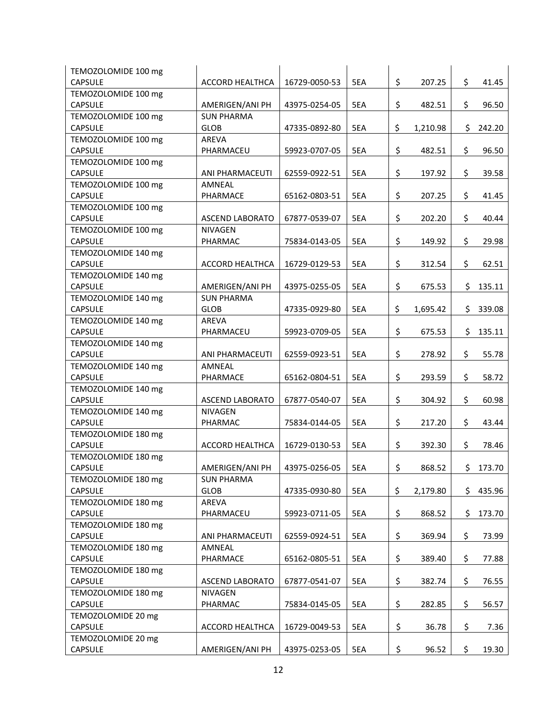| TEMOZOLOMIDE 100 mg |                        |               |     |                |     |        |
|---------------------|------------------------|---------------|-----|----------------|-----|--------|
| <b>CAPSULE</b>      | ACCORD HEALTHCA        | 16729-0050-53 | 5EA | \$<br>207.25   | \$  | 41.45  |
| TEMOZOLOMIDE 100 mg |                        |               |     |                |     |        |
| <b>CAPSULE</b>      | AMERIGEN/ANI PH        | 43975-0254-05 | 5EA | \$<br>482.51   | \$  | 96.50  |
| TEMOZOLOMIDE 100 mg | <b>SUN PHARMA</b>      |               |     |                |     |        |
| <b>CAPSULE</b>      | <b>GLOB</b>            | 47335-0892-80 | 5EA | \$<br>1,210.98 | \$  | 242.20 |
| TEMOZOLOMIDE 100 mg | <b>AREVA</b>           |               |     |                |     |        |
| <b>CAPSULE</b>      | PHARMACEU              | 59923-0707-05 | 5EA | \$<br>482.51   | \$  | 96.50  |
| TEMOZOLOMIDE 100 mg |                        |               |     |                |     |        |
| <b>CAPSULE</b>      | ANI PHARMACEUTI        | 62559-0922-51 | 5EA | \$<br>197.92   | \$  | 39.58  |
| TEMOZOLOMIDE 100 mg | AMNEAL                 |               |     |                |     |        |
| <b>CAPSULE</b>      | PHARMACE               | 65162-0803-51 | 5EA | \$<br>207.25   | \$  | 41.45  |
| TEMOZOLOMIDE 100 mg |                        |               |     |                |     |        |
| <b>CAPSULE</b>      | <b>ASCEND LABORATO</b> | 67877-0539-07 | 5EA | \$<br>202.20   | \$  | 40.44  |
| TEMOZOLOMIDE 100 mg | <b>NIVAGEN</b>         |               |     |                |     |        |
| <b>CAPSULE</b>      | PHARMAC                | 75834-0143-05 | 5EA | \$<br>149.92   | \$  | 29.98  |
| TEMOZOLOMIDE 140 mg |                        |               |     |                |     |        |
| <b>CAPSULE</b>      | ACCORD HEALTHCA        | 16729-0129-53 | 5EA | \$<br>312.54   | \$  | 62.51  |
| TEMOZOLOMIDE 140 mg |                        |               |     |                |     |        |
| <b>CAPSULE</b>      | AMERIGEN/ANI PH        | 43975-0255-05 | 5EA | \$<br>675.53   | \$  | 135.11 |
| TEMOZOLOMIDE 140 mg | <b>SUN PHARMA</b>      |               |     |                |     |        |
| <b>CAPSULE</b>      | <b>GLOB</b>            | 47335-0929-80 | 5EA | \$<br>1,695.42 | \$  | 339.08 |
| TEMOZOLOMIDE 140 mg | AREVA                  |               |     |                |     |        |
| <b>CAPSULE</b>      | PHARMACEU              | 59923-0709-05 | 5EA | \$<br>675.53   | \$  | 135.11 |
| TEMOZOLOMIDE 140 mg |                        |               |     |                |     |        |
| <b>CAPSULE</b>      | ANI PHARMACEUTI        | 62559-0923-51 | 5EA | \$<br>278.92   | \$  | 55.78  |
| TEMOZOLOMIDE 140 mg | AMNEAL                 |               |     |                |     |        |
| <b>CAPSULE</b>      | PHARMACE               | 65162-0804-51 | 5EA | \$<br>293.59   | \$  | 58.72  |
| TEMOZOLOMIDE 140 mg |                        |               |     |                |     |        |
| <b>CAPSULE</b>      | <b>ASCEND LABORATO</b> | 67877-0540-07 | 5EA | \$<br>304.92   | \$  | 60.98  |
| TEMOZOLOMIDE 140 mg | <b>NIVAGEN</b>         |               |     |                |     |        |
| <b>CAPSULE</b>      | PHARMAC                | 75834-0144-05 | 5EA | \$<br>217.20   | \$  | 43.44  |
| TEMOZOLOMIDE 180 mg |                        |               |     |                |     |        |
| <b>CAPSULE</b>      | ACCORD HEALTHCA        | 16729-0130-53 | 5EA | \$<br>392.30   | \$  | 78.46  |
| TEMOZOLOMIDE 180 mg |                        |               |     |                |     |        |
| <b>CAPSULE</b>      | AMERIGEN/ANI PH        | 43975-0256-05 | 5EA | \$<br>868.52   | \$  | 173.70 |
| TEMOZOLOMIDE 180 mg | <b>SUN PHARMA</b>      |               |     |                |     |        |
| <b>CAPSULE</b>      | <b>GLOB</b>            | 47335-0930-80 | 5EA | \$<br>2,179.80 | \$  | 435.96 |
| TEMOZOLOMIDE 180 mg | AREVA                  |               |     |                |     |        |
| <b>CAPSULE</b>      | PHARMACEU              | 59923-0711-05 | 5EA | \$<br>868.52   | \$. | 173.70 |
| TEMOZOLOMIDE 180 mg |                        |               |     |                |     |        |
| <b>CAPSULE</b>      | ANI PHARMACEUTI        | 62559-0924-51 | 5EA | \$<br>369.94   | \$  | 73.99  |
| TEMOZOLOMIDE 180 mg | AMNEAL                 |               |     |                |     |        |
| <b>CAPSULE</b>      | PHARMACE               | 65162-0805-51 | 5EA | \$<br>389.40   | \$  | 77.88  |
| TEMOZOLOMIDE 180 mg |                        |               |     |                |     |        |
| <b>CAPSULE</b>      | <b>ASCEND LABORATO</b> | 67877-0541-07 | 5EA | \$<br>382.74   | \$  | 76.55  |
| TEMOZOLOMIDE 180 mg | NIVAGEN                |               |     |                |     |        |
| <b>CAPSULE</b>      | PHARMAC                | 75834-0145-05 | 5EA | \$<br>282.85   | \$  | 56.57  |
| TEMOZOLOMIDE 20 mg  |                        |               |     |                |     |        |
| CAPSULE             | ACCORD HEALTHCA        | 16729-0049-53 | 5EA | \$<br>36.78    | \$  | 7.36   |
| TEMOZOLOMIDE 20 mg  |                        |               |     |                |     |        |
| <b>CAPSULE</b>      | AMERIGEN/ANI PH        | 43975-0253-05 | 5EA | \$<br>96.52    | \$  | 19.30  |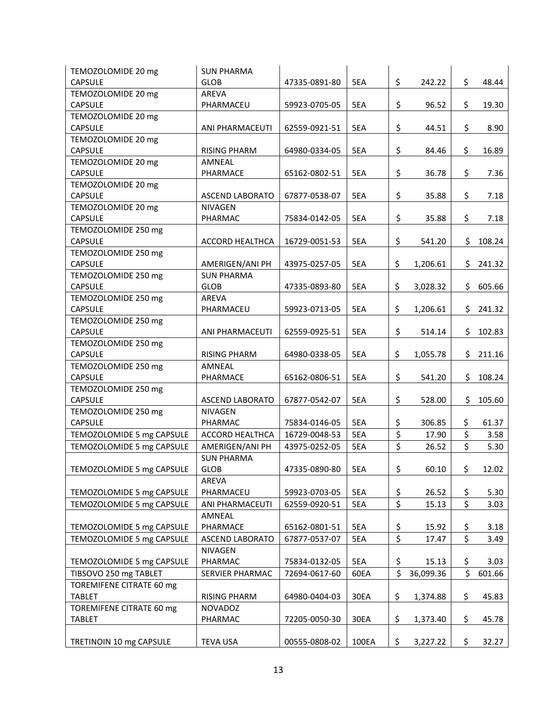| TEMOZOLOMIDE 20 mg        | <b>SUN PHARMA</b>      |               |       |                  |           |                                 |        |
|---------------------------|------------------------|---------------|-------|------------------|-----------|---------------------------------|--------|
| <b>CAPSULE</b>            | <b>GLOB</b>            | 47335-0891-80 | 5EA   | \$               | 242.22    | \$                              | 48.44  |
| TEMOZOLOMIDE 20 mg        | <b>AREVA</b>           |               |       |                  |           |                                 |        |
| <b>CAPSULE</b>            | PHARMACEU              | 59923-0705-05 | 5EA   | \$               | 96.52     | \$                              | 19.30  |
| TEMOZOLOMIDE 20 mg        |                        |               |       |                  |           |                                 |        |
| <b>CAPSULE</b>            | ANI PHARMACEUTI        | 62559-0921-51 | 5EA   | \$               | 44.51     | \$                              | 8.90   |
| TEMOZOLOMIDE 20 mg        |                        |               |       |                  |           |                                 |        |
| <b>CAPSULE</b>            | <b>RISING PHARM</b>    | 64980-0334-05 | 5EA   | \$               | 84.46     | \$                              | 16.89  |
| TEMOZOLOMIDE 20 mg        | AMNEAL                 |               |       |                  |           |                                 |        |
| <b>CAPSULE</b>            | PHARMACE               | 65162-0802-51 | 5EA   | \$               | 36.78     | \$                              | 7.36   |
| TEMOZOLOMIDE 20 mg        |                        |               |       |                  |           |                                 |        |
| <b>CAPSULE</b>            | <b>ASCEND LABORATO</b> | 67877-0538-07 | 5EA   | \$               | 35.88     | \$                              | 7.18   |
| TEMOZOLOMIDE 20 mg        | <b>NIVAGEN</b>         |               |       |                  |           |                                 |        |
| <b>CAPSULE</b>            | PHARMAC                | 75834-0142-05 | 5EA   | \$               | 35.88     | \$                              | 7.18   |
| TEMOZOLOMIDE 250 mg       |                        |               |       |                  |           |                                 |        |
| <b>CAPSULE</b>            | ACCORD HEALTHCA        | 16729-0051-53 | 5EA   | \$               | 541.20    | \$                              | 108.24 |
| TEMOZOLOMIDE 250 mg       |                        |               |       |                  |           |                                 |        |
| <b>CAPSULE</b>            | AMERIGEN/ANI PH        | 43975-0257-05 | 5EA   | \$               | 1,206.61  | \$.                             | 241.32 |
| TEMOZOLOMIDE 250 mg       | <b>SUN PHARMA</b>      |               |       |                  |           |                                 |        |
| <b>CAPSULE</b>            | <b>GLOB</b>            | 47335-0893-80 | 5EA   | \$               | 3,028.32  | \$                              | 605.66 |
| TEMOZOLOMIDE 250 mg       | <b>AREVA</b>           |               |       |                  |           |                                 |        |
| <b>CAPSULE</b>            | PHARMACEU              | 59923-0713-05 | 5EA   | \$               | 1,206.61  | \$.                             | 241.32 |
| TEMOZOLOMIDE 250 mg       |                        |               |       |                  |           |                                 |        |
| <b>CAPSULE</b>            | ANI PHARMACEUTI        | 62559-0925-51 | 5EA   | \$               | 514.14    | \$                              | 102.83 |
| TEMOZOLOMIDE 250 mg       |                        |               |       |                  |           |                                 |        |
| <b>CAPSULE</b>            | <b>RISING PHARM</b>    | 64980-0338-05 | 5EA   | \$               | 1,055.78  | \$                              | 211.16 |
| TEMOZOLOMIDE 250 mg       | AMNEAL                 |               |       |                  |           |                                 |        |
| <b>CAPSULE</b>            | PHARMACE               | 65162-0806-51 | 5EA   | \$               | 541.20    | \$                              | 108.24 |
| TEMOZOLOMIDE 250 mg       |                        |               |       |                  |           |                                 |        |
| <b>CAPSULE</b>            | <b>ASCEND LABORATO</b> | 67877-0542-07 | 5EA   | \$               | 528.00    | \$                              | 105.60 |
| TEMOZOLOMIDE 250 mg       | <b>NIVAGEN</b>         |               |       |                  |           |                                 |        |
| <b>CAPSULE</b>            | PHARMAC                | 75834-0146-05 | 5EA   | \$               | 306.85    | \$                              | 61.37  |
| TEMOZOLOMIDE 5 mg CAPSULE | <b>ACCORD HEALTHCA</b> | 16729-0048-53 | 5EA   | \$               | 17.90     | \$                              | 3.58   |
| TEMOZOLOMIDE 5 mg CAPSULE | AMERIGEN/ANI PH        | 43975-0252-05 | 5EA   | \$               | 26.52     | \$                              | 5.30   |
|                           | <b>SUN PHARMA</b>      |               |       |                  |           |                                 |        |
| TEMOZOLOMIDE 5 mg CAPSULE | <b>GLOB</b>            | 47335-0890-80 | 5EA   | \$               | 60.10     | \$                              | 12.02  |
|                           | AREVA                  |               |       |                  |           |                                 |        |
| TEMOZOLOMIDE 5 mg CAPSULE | PHARMACEU              | 59923-0703-05 | 5EA   | \$               | 26.52     | \$                              | 5.30   |
| TEMOZOLOMIDE 5 mg CAPSULE | ANI PHARMACEUTI        | 62559-0920-51 | 5EA   | \$               | 15.13     | \$                              | 3.03   |
|                           | AMNEAL                 |               |       |                  |           |                                 |        |
| TEMOZOLOMIDE 5 mg CAPSULE | PHARMACE               | 65162-0801-51 | 5EA   | \$               | 15.92     | \$                              | 3.18   |
| TEMOZOLOMIDE 5 mg CAPSULE | <b>ASCEND LABORATO</b> | 67877-0537-07 | 5EA   | $\overline{\xi}$ | 17.47     | $\overline{\boldsymbol{\zeta}}$ | 3.49   |
|                           | <b>NIVAGEN</b>         |               |       |                  |           |                                 |        |
| TEMOZOLOMIDE 5 mg CAPSULE | PHARMAC                | 75834-0132-05 | 5EA   | \$               | 15.13     | \$                              | 3.03   |
| TIBSOVO 250 mg TABLET     | SERVIER PHARMAC        | 72694-0617-60 | 60EA  | \$               | 36,099.36 | \$                              | 601.66 |
| TOREMIFENE CITRATE 60 mg  |                        |               |       |                  |           |                                 |        |
| <b>TABLET</b>             | <b>RISING PHARM</b>    | 64980-0404-03 | 30EA  | \$               | 1,374.88  | \$                              | 45.83  |
| TOREMIFENE CITRATE 60 mg  | <b>NOVADOZ</b>         |               |       |                  |           |                                 |        |
| <b>TABLET</b>             | PHARMAC                | 72205-0050-30 | 30EA  | \$               | 1,373.40  | \$                              | 45.78  |
|                           |                        |               |       |                  |           |                                 |        |
| TRETINOIN 10 mg CAPSULE   | <b>TEVA USA</b>        | 00555-0808-02 | 100EA | \$               | 3,227.22  | \$                              | 32.27  |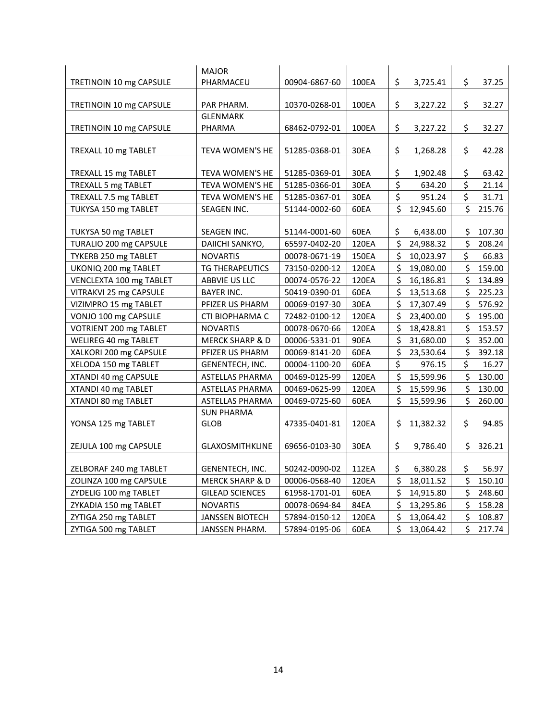|                         | <b>MAJOR</b>               |               |             |                      |           |     |        |
|-------------------------|----------------------------|---------------|-------------|----------------------|-----------|-----|--------|
| TRETINOIN 10 mg CAPSULE | PHARMACEU                  | 00904-6867-60 | 100EA       | \$                   | 3,725.41  | \$  | 37.25  |
|                         |                            |               |             |                      |           |     |        |
| TRETINOIN 10 mg CAPSULE | PAR PHARM.                 | 10370-0268-01 | 100EA       | \$                   | 3,227.22  | \$  | 32.27  |
|                         | <b>GLENMARK</b>            |               |             |                      |           |     |        |
| TRETINOIN 10 mg CAPSULE | PHARMA                     | 68462-0792-01 | 100EA       | \$                   | 3,227.22  | \$  | 32.27  |
|                         |                            |               |             |                      |           | \$  |        |
| TREXALL 10 mg TABLET    | <b>TEVA WOMEN'S HE</b>     | 51285-0368-01 | <b>30EA</b> | \$                   | 1,268.28  |     | 42.28  |
| TREXALL 15 mg TABLET    | TEVA WOMEN'S HE            | 51285-0369-01 | 30EA        | \$                   | 1,902.48  | \$  | 63.42  |
| TREXALL 5 mg TABLET     | TEVA WOMEN'S HE            | 51285-0366-01 | 30EA        | $\overline{\xi}$     | 634.20    | \$  | 21.14  |
| TREXALL 7.5 mg TABLET   | TEVA WOMEN'S HE            | 51285-0367-01 | 30EA        | \$                   | 951.24    | \$  | 31.71  |
| TUKYSA 150 mg TABLET    | SEAGEN INC.                | 51144-0002-60 | 60EA        | \$                   | 12,945.60 | \$  | 215.76 |
|                         |                            |               |             |                      |           |     |        |
| TUKYSA 50 mg TABLET     | SEAGEN INC.                | 51144-0001-60 | 60EA        | \$                   | 6,438.00  | \$  | 107.30 |
| TURALIO 200 mg CAPSULE  | DAIICHI SANKYO,            | 65597-0402-20 | 120EA       | \$                   | 24,988.32 | \$  | 208.24 |
| TYKERB 250 mg TABLET    | <b>NOVARTIS</b>            | 00078-0671-19 | 150EA       | \$                   | 10,023.97 | \$  | 66.83  |
| UKONIQ 200 mg TABLET    | TG THERAPEUTICS            | 73150-0200-12 | 120EA       | \$                   | 19,080.00 | \$  | 159.00 |
| VENCLEXTA 100 mg TABLET | ABBVIE US LLC              | 00074-0576-22 | 120EA       | \$                   | 16,186.81 | \$  | 134.89 |
| VITRAKVI 25 mg CAPSULE  | <b>BAYER INC.</b>          | 50419-0390-01 | 60EA        | \$                   | 13,513.68 | \$  | 225.23 |
| VIZIMPRO 15 mg TABLET   | PFIZER US PHARM            | 00069-0197-30 | 30EA        | \$                   | 17,307.49 | \$  | 576.92 |
| VONJO 100 mg CAPSULE    | CTI BIOPHARMA C            | 72482-0100-12 | 120EA       | \$                   | 23,400.00 | \$  | 195.00 |
| VOTRIENT 200 mg TABLET  | <b>NOVARTIS</b>            | 00078-0670-66 | 120EA       | \$                   | 18,428.81 | Ś.  | 153.57 |
| WELIREG 40 mg TABLET    | <b>MERCK SHARP &amp; D</b> | 00006-5331-01 | 90EA        | \$                   | 31,680.00 | \$  | 352.00 |
| XALKORI 200 mg CAPSULE  | PFIZER US PHARM            | 00069-8141-20 | 60EA        | \$                   | 23,530.64 | \$  | 392.18 |
| XELODA 150 mg TABLET    | GENENTECH, INC.            | 00004-1100-20 | 60EA        | \$                   | 976.15    | \$  | 16.27  |
| XTANDI 40 mg CAPSULE    | <b>ASTELLAS PHARMA</b>     | 00469-0125-99 | 120EA       | $\boldsymbol{\zeta}$ | 15,599.96 | \$  | 130.00 |
| XTANDI 40 mg TABLET     | <b>ASTELLAS PHARMA</b>     | 00469-0625-99 | 120EA       | \$                   | 15,599.96 | \$  | 130.00 |
| XTANDI 80 mg TABLET     | ASTELLAS PHARMA            | 00469-0725-60 | 60EA        | \$                   | 15,599.96 | \$  | 260.00 |
|                         | <b>SUN PHARMA</b>          |               |             |                      |           |     |        |
| YONSA 125 mg TABLET     | <b>GLOB</b>                | 47335-0401-81 | 120EA       | \$                   | 11,382.32 | \$  | 94.85  |
|                         |                            |               | 30EA        | \$                   |           |     | 326.21 |
| ZEJULA 100 mg CAPSULE   | <b>GLAXOSMITHKLINE</b>     | 69656-0103-30 |             |                      | 9,786.40  | \$. |        |
| ZELBORAF 240 mg TABLET  | GENENTECH, INC.            | 50242-0090-02 | 112EA       | \$                   | 6,380.28  | \$  | 56.97  |
| ZOLINZA 100 mg CAPSULE  | <b>MERCK SHARP &amp; D</b> | 00006-0568-40 | 120EA       | \$                   | 18,011.52 | \$  | 150.10 |
| ZYDELIG 100 mg TABLET   | <b>GILEAD SCIENCES</b>     | 61958-1701-01 | 60EA        | \$                   | 14,915.80 | \$  | 248.60 |
| ZYKADIA 150 mg TABLET   | <b>NOVARTIS</b>            | 00078-0694-84 | 84EA        | \$                   | 13,295.86 | \$  | 158.28 |
| ZYTIGA 250 mg TABLET    | <b>JANSSEN BIOTECH</b>     | 57894-0150-12 | 120EA       | \$                   | 13,064.42 | \$  | 108.87 |
| ZYTIGA 500 mg TABLET    | JANSSEN PHARM.             | 57894-0195-06 | 60EA        | \$                   | 13,064.42 | \$  | 217.74 |